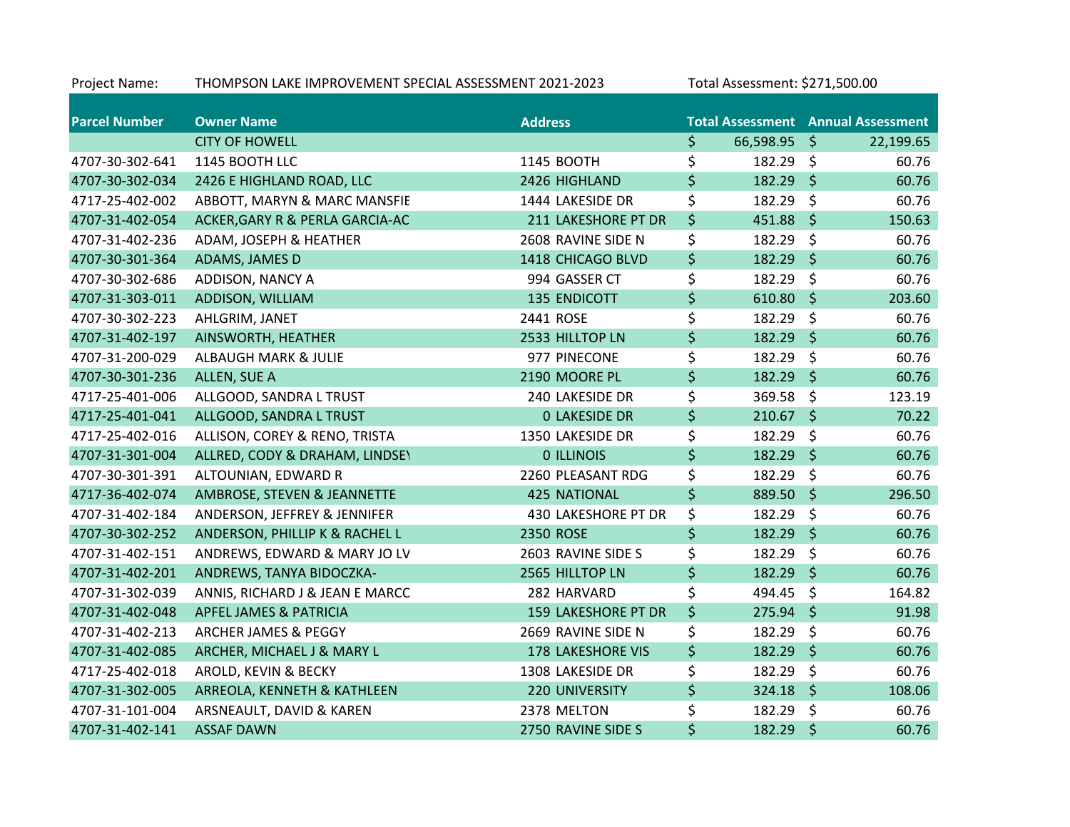| Project Name:        | THOMPSON LAKE IMPROVEMENT SPECIAL ASSESSMENT 2021-2023 |                          | Total Assessment: \$271,500.00 |         |                                           |
|----------------------|--------------------------------------------------------|--------------------------|--------------------------------|---------|-------------------------------------------|
| <b>Parcel Number</b> | <b>Owner Name</b>                                      | <b>Address</b>           |                                |         | <b>Total Assessment Annual Assessment</b> |
|                      | <b>CITY OF HOWELL</b>                                  |                          | \$<br>66,598.95 \$             |         | 22,199.65                                 |
| 4707-30-302-641      | 1145 BOOTH LLC                                         | 1145 BOOTH               | \$<br>182.29 \$                |         | 60.76                                     |
| 4707-30-302-034      | 2426 E HIGHLAND ROAD, LLC                              | 2426 HIGHLAND            | \$<br>182.29 \$                |         | 60.76                                     |
| 4717-25-402-002      | ABBOTT, MARYN & MARC MANSFIE                           | 1444 LAKESIDE DR         | \$<br>182.29                   | \$      | 60.76                                     |
| 4707-31-402-054      | ACKER, GARY R & PERLA GARCIA-AC                        | 211 LAKESHORE PT DR      | \$<br>451.88                   | $\zeta$ | 150.63                                    |
| 4707-31-402-236      | ADAM, JOSEPH & HEATHER                                 | 2608 RAVINE SIDE N       | \$<br>182.29                   | \$      | 60.76                                     |
| 4707-30-301-364      | ADAMS, JAMES D                                         | 1418 CHICAGO BLVD        | \$<br>182.29 \$                |         | 60.76                                     |
| 4707-30-302-686      | ADDISON, NANCY A                                       | 994 GASSER CT            | \$<br>182.29                   | \$      | 60.76                                     |
| 4707-31-303-011      | ADDISON, WILLIAM                                       | <b>135 ENDICOTT</b>      | \$<br>610.80                   | $\zeta$ | 203.60                                    |
| 4707-30-302-223      | AHLGRIM, JANET                                         | 2441 ROSE                | \$<br>182.29                   | \$      | 60.76                                     |
| 4707-31-402-197      | AINSWORTH, HEATHER                                     | 2533 HILLTOP LN          | \$<br>182.29 \$                |         | 60.76                                     |
| 4707-31-200-029      | <b>ALBAUGH MARK &amp; JULIE</b>                        | 977 PINECONE             | \$<br>182.29                   | \$      | 60.76                                     |
| 4707-30-301-236      | ALLEN, SUE A                                           | 2190 MOORE PL            | \$<br>182.29                   | \$      | 60.76                                     |
| 4717-25-401-006      | ALLGOOD, SANDRA L TRUST                                | 240 LAKESIDE DR          | \$<br>369.58                   | \$      | 123.19                                    |
| 4717-25-401-041      | ALLGOOD, SANDRA L TRUST                                | <b>0 LAKESIDE DR</b>     | \$<br>210.67                   | \$      | 70.22                                     |
| 4717-25-402-016      | ALLISON, COREY & RENO, TRISTA                          | 1350 LAKESIDE DR         | \$<br>182.29                   | \$      | 60.76                                     |
| 4707-31-301-004      | ALLRED, CODY & DRAHAM, LINDSEY                         | <b>0 ILLINOIS</b>        | \$<br>182.29                   | $\zeta$ | 60.76                                     |
| 4707-30-301-391      | ALTOUNIAN, EDWARD R                                    | 2260 PLEASANT RDG        | \$<br>182.29                   | \$      | 60.76                                     |
| 4717-36-402-074      | AMBROSE, STEVEN & JEANNETTE                            | <b>425 NATIONAL</b>      | \$<br>889.50                   | $\zeta$ | 296.50                                    |
| 4707-31-402-184      | ANDERSON, JEFFREY & JENNIFER                           | 430 LAKESHORE PT DR      | \$<br>182.29                   | - \$    | 60.76                                     |
| 4707-30-302-252      | ANDERSON, PHILLIP K & RACHEL L                         | 2350 ROSE                | \$<br>182.29                   | $\zeta$ | 60.76                                     |
| 4707-31-402-151      | ANDREWS, EDWARD & MARY JO LV                           | 2603 RAVINE SIDE S       | \$<br>182.29                   | \$      | 60.76                                     |
| 4707-31-402-201      | ANDREWS, TANYA BIDOCZKA-                               | 2565 HILLTOP LN          | \$<br>182.29                   | $\zeta$ | 60.76                                     |
| 4707-31-302-039      | ANNIS, RICHARD J & JEAN E MARCC                        | 282 HARVARD              | \$<br>494.45                   | \$      | 164.82                                    |
| 4707-31-402-048      | <b>APFEL JAMES &amp; PATRICIA</b>                      | 159 LAKESHORE PT DR      | \$<br>275.94                   | $\zeta$ | 91.98                                     |
| 4707-31-402-213      | ARCHER JAMES & PEGGY                                   | 2669 RAVINE SIDE N       | \$<br>182.29                   | \$      | 60.76                                     |
| 4707-31-402-085      | ARCHER, MICHAEL J & MARY L                             | <b>178 LAKESHORE VIS</b> | \$<br>182.29                   | $\zeta$ | 60.76                                     |
| 4717-25-402-018      | AROLD, KEVIN & BECKY                                   | 1308 LAKESIDE DR         | \$<br>182.29                   | \$      | 60.76                                     |
| 4707-31-302-005      | ARREOLA, KENNETH & KATHLEEN                            | 220 UNIVERSITY           | \$<br>$324.18$ \$              |         | 108.06                                    |
| 4707-31-101-004      | ARSNEAULT, DAVID & KAREN                               | 2378 MELTON              | \$<br>182.29                   | \$      | 60.76                                     |
| 4707-31-402-141      | <b>ASSAF DAWN</b>                                      | 2750 RAVINE SIDE S       | \$<br>182.29                   | \$      | 60.76                                     |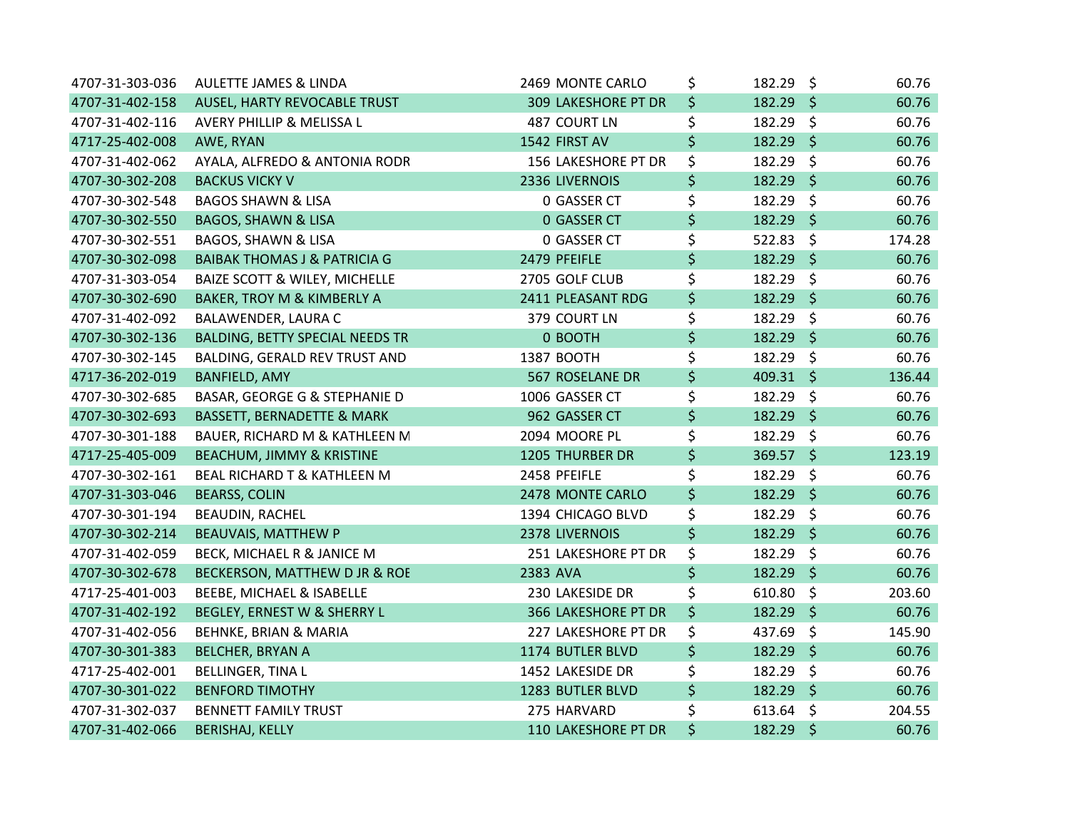| 4707-31-303-036 | <b>AULETTE JAMES &amp; LINDA</b>         | 2469 MONTE CARLO           | \$<br>182.29 \$   |                    | 60.76  |
|-----------------|------------------------------------------|----------------------------|-------------------|--------------------|--------|
| 4707-31-402-158 | AUSEL, HARTY REVOCABLE TRUST             | <b>309 LAKESHORE PT DR</b> | \$<br>$182.29$ \$ |                    | 60.76  |
| 4707-31-402-116 | AVERY PHILLIP & MELISSA L                | 487 COURT LN               | \$<br>182.29 \$   |                    | 60.76  |
| 4717-25-402-008 | AWE, RYAN                                | 1542 FIRST AV              | \$<br>182.29 \$   |                    | 60.76  |
| 4707-31-402-062 | AYALA, ALFREDO & ANTONIA RODR            | 156 LAKESHORE PT DR        | \$<br>182.29 \$   |                    | 60.76  |
| 4707-30-302-208 | <b>BACKUS VICKY V</b>                    | 2336 LIVERNOIS             | \$<br>182.29      | $\ddot{\varsigma}$ | 60.76  |
| 4707-30-302-548 | <b>BAGOS SHAWN &amp; LISA</b>            | 0 GASSER CT                | \$<br>182.29 \$   |                    | 60.76  |
| 4707-30-302-550 | <b>BAGOS, SHAWN &amp; LISA</b>           | 0 GASSER CT                | \$<br>182.29 \$   |                    | 60.76  |
| 4707-30-302-551 | <b>BAGOS, SHAWN &amp; LISA</b>           | 0 GASSER CT                | \$<br>522.83      | $\zeta$            | 174.28 |
| 4707-30-302-098 | <b>BAIBAK THOMAS J &amp; PATRICIA G</b>  | 2479 PFEIFLE               | \$<br>182.29 \$   |                    | 60.76  |
| 4707-31-303-054 | <b>BAIZE SCOTT &amp; WILEY, MICHELLE</b> | 2705 GOLF CLUB             | \$<br>182.29 \$   |                    | 60.76  |
| 4707-30-302-690 | BAKER, TROY M & KIMBERLY A               | 2411 PLEASANT RDG          | \$<br>182.29 \$   |                    | 60.76  |
| 4707-31-402-092 | BALAWENDER, LAURA C                      | 379 COURT LN               | \$<br>182.29 \$   |                    | 60.76  |
| 4707-30-302-136 | <b>BALDING, BETTY SPECIAL NEEDS TR</b>   | 0 BOOTH                    | \$<br>182.29 \$   |                    | 60.76  |
| 4707-30-302-145 | BALDING, GERALD REV TRUST AND            | 1387 BOOTH                 | \$<br>182.29 \$   |                    | 60.76  |
| 4717-36-202-019 | <b>BANFIELD, AMY</b>                     | 567 ROSELANE DR            | \$<br>$409.31$ \$ |                    | 136.44 |
| 4707-30-302-685 | BASAR, GEORGE G & STEPHANIE D            | 1006 GASSER CT             | \$<br>182.29 \$   |                    | 60.76  |
| 4707-30-302-693 | <b>BASSETT, BERNADETTE &amp; MARK</b>    | 962 GASSER CT              | \$<br>182.29 \$   |                    | 60.76  |
| 4707-30-301-188 | BAUER, RICHARD M & KATHLEEN M            | 2094 MOORE PL              | \$<br>182.29 \$   |                    | 60.76  |
| 4717-25-405-009 | BEACHUM, JIMMY & KRISTINE                | <b>1205 THURBER DR</b>     | \$<br>$369.57$ \$ |                    | 123.19 |
| 4707-30-302-161 | <b>BEAL RICHARD T &amp; KATHLEEN M</b>   | 2458 PFEIFLE               | \$<br>182.29 \$   |                    | 60.76  |
| 4707-31-303-046 | <b>BEARSS, COLIN</b>                     | 2478 MONTE CARLO           | \$<br>182.29 \$   |                    | 60.76  |
| 4707-30-301-194 | BEAUDIN, RACHEL                          | 1394 CHICAGO BLVD          | \$<br>182.29 \$   |                    | 60.76  |
| 4707-30-302-214 | <b>BEAUVAIS, MATTHEW P</b>               | 2378 LIVERNOIS             | \$<br>182.29 \$   |                    | 60.76  |
| 4707-31-402-059 | BECK, MICHAEL R & JANICE M               | 251 LAKESHORE PT DR        | \$<br>182.29      | $\zeta$            | 60.76  |
| 4707-30-302-678 | BECKERSON, MATTHEW D JR & ROE            | 2383 AVA                   | \$<br>182.29 \$   |                    | 60.76  |
| 4717-25-401-003 | BEEBE, MICHAEL & ISABELLE                | 230 LAKESIDE DR            | \$<br>610.80%     |                    | 203.60 |
| 4707-31-402-192 | BEGLEY, ERNEST W & SHERRY L              | <b>366 LAKESHORE PT DR</b> | \$<br>182.29 \$   |                    | 60.76  |
| 4707-31-402-056 | BEHNKE, BRIAN & MARIA                    | 227 LAKESHORE PT DR        | \$<br>437.69 \$   |                    | 145.90 |
| 4707-30-301-383 | <b>BELCHER, BRYAN A</b>                  | 1174 BUTLER BLVD           | \$<br>$182.29$ \$ |                    | 60.76  |
| 4717-25-402-001 | <b>BELLINGER, TINA L</b>                 | 1452 LAKESIDE DR           | \$<br>182.29 \$   |                    | 60.76  |
| 4707-30-301-022 | <b>BENFORD TIMOTHY</b>                   | 1283 BUTLER BLVD           | \$<br>182.29 \$   |                    | 60.76  |
| 4707-31-302-037 | <b>BENNETT FAMILY TRUST</b>              | 275 HARVARD                | \$<br>$613.64$ \$ |                    | 204.55 |
| 4707-31-402-066 | <b>BERISHAJ, KELLY</b>                   | 110 LAKESHORE PT DR        | \$<br>182.29 \$   |                    | 60.76  |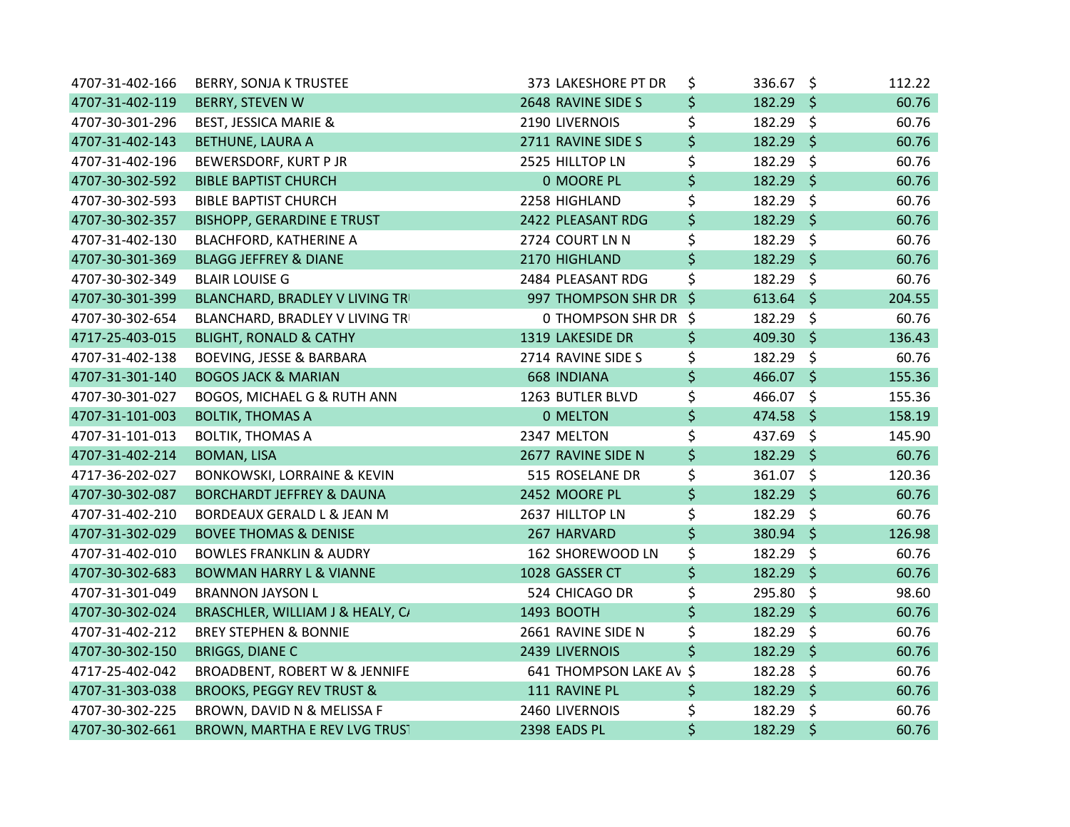| 4707-31-402-166 | <b>BERRY, SONJA K TRUSTEE</b>          | 373 LAKESHORE PT DR     | \$<br>336.67 \$   | 112.22 |
|-----------------|----------------------------------------|-------------------------|-------------------|--------|
| 4707-31-402-119 | <b>BERRY, STEVEN W</b>                 | 2648 RAVINE SIDE S      | \$<br>$182.29$ \$ | 60.76  |
| 4707-30-301-296 | <b>BEST, JESSICA MARIE &amp;</b>       | 2190 LIVERNOIS          | \$<br>182.29 \$   | 60.76  |
| 4707-31-402-143 | <b>BETHUNE, LAURA A</b>                | 2711 RAVINE SIDE S      | \$<br>$182.29$ \$ | 60.76  |
| 4707-31-402-196 | BEWERSDORF, KURT P JR                  | 2525 HILLTOP LN         | \$<br>182.29 \$   | 60.76  |
| 4707-30-302-592 | <b>BIBLE BAPTIST CHURCH</b>            | 0 MOORE PL              | \$<br>$182.29$ \$ | 60.76  |
| 4707-30-302-593 | <b>BIBLE BAPTIST CHURCH</b>            | 2258 HIGHLAND           | \$<br>182.29 \$   | 60.76  |
| 4707-30-302-357 | <b>BISHOPP, GERARDINE E TRUST</b>      | 2422 PLEASANT RDG       | \$<br>182.29 \$   | 60.76  |
| 4707-31-402-130 | <b>BLACHFORD, KATHERINE A</b>          | 2724 COURT LN N         | \$<br>182.29 \$   | 60.76  |
| 4707-30-301-369 | <b>BLAGG JEFFREY &amp; DIANE</b>       | 2170 HIGHLAND           | \$<br>182.29 \$   | 60.76  |
| 4707-30-302-349 | <b>BLAIR LOUISE G</b>                  | 2484 PLEASANT RDG       | \$<br>182.29 \$   | 60.76  |
| 4707-30-301-399 | BLANCHARD, BRADLEY V LIVING TRI        | 997 THOMPSON SHR DR \$  | $613.64$ \$       | 204.55 |
| 4707-30-302-654 | BLANCHARD, BRADLEY V LIVING TRI        | 0 THOMPSON SHR DR \$    | 182.29 \$         | 60.76  |
| 4717-25-403-015 | <b>BLIGHT, RONALD &amp; CATHY</b>      | 1319 LAKESIDE DR        | \$<br>409.30 \$   | 136.43 |
| 4707-31-402-138 | <b>BOEVING, JESSE &amp; BARBARA</b>    | 2714 RAVINE SIDE S      | \$<br>182.29 \$   | 60.76  |
| 4707-31-301-140 | <b>BOGOS JACK &amp; MARIAN</b>         | <b>668 INDIANA</b>      | \$<br>466.07 \$   | 155.36 |
| 4707-30-301-027 | BOGOS, MICHAEL G & RUTH ANN            | 1263 BUTLER BLVD        | \$<br>466.07 \$   | 155.36 |
| 4707-31-101-003 | <b>BOLTIK, THOMAS A</b>                | 0 MELTON                | \$<br>474.58 \$   | 158.19 |
| 4707-31-101-013 | <b>BOLTIK, THOMAS A</b>                | 2347 MELTON             | \$<br>437.69 \$   | 145.90 |
| 4707-31-402-214 | <b>BOMAN, LISA</b>                     | 2677 RAVINE SIDE N      | \$<br>182.29 \$   | 60.76  |
| 4717-36-202-027 | <b>BONKOWSKI, LORRAINE &amp; KEVIN</b> | 515 ROSELANE DR         | \$<br>361.07 \$   | 120.36 |
| 4707-30-302-087 | <b>BORCHARDT JEFFREY &amp; DAUNA</b>   | 2452 MOORE PL           | \$<br>$182.29$ \$ | 60.76  |
| 4707-31-402-210 | BORDEAUX GERALD L & JEAN M             | 2637 HILLTOP LN         | \$<br>182.29 \$   | 60.76  |
| 4707-31-302-029 | <b>BOVEE THOMAS &amp; DENISE</b>       | 267 HARVARD             | \$<br>380.94 \$   | 126.98 |
| 4707-31-402-010 | <b>BOWLES FRANKLIN &amp; AUDRY</b>     | 162 SHOREWOOD LN        | \$<br>$182.29$ \$ | 60.76  |
| 4707-30-302-683 | <b>BOWMAN HARRY L &amp; VIANNE</b>     | 1028 GASSER CT          | \$<br>182.29 \$   | 60.76  |
| 4707-31-301-049 | <b>BRANNON JAYSON L</b>                | 524 CHICAGO DR          | \$<br>295.80 \$   | 98.60  |
| 4707-30-302-024 | BRASCHLER, WILLIAM J & HEALY, C/       | 1493 BOOTH              | \$<br>182.29 \$   | 60.76  |
| 4707-31-402-212 | <b>BREY STEPHEN &amp; BONNIE</b>       | 2661 RAVINE SIDE N      | \$<br>182.29 \$   | 60.76  |
| 4707-30-302-150 | <b>BRIGGS, DIANE C</b>                 | 2439 LIVERNOIS          | \$<br>182.29 \$   | 60.76  |
| 4717-25-402-042 | BROADBENT, ROBERT W & JENNIFE          | 641 THOMPSON LAKE AV \$ | 182.28 \$         | 60.76  |
| 4707-31-303-038 | <b>BROOKS, PEGGY REV TRUST &amp;</b>   | 111 RAVINE PL           | \$<br>$182.29$ \$ | 60.76  |
| 4707-30-302-225 | BROWN, DAVID N & MELISSA F             | 2460 LIVERNOIS          | \$<br>182.29 \$   | 60.76  |
| 4707-30-302-661 | BROWN, MARTHA E REV LVG TRUST          | 2398 EADS PL            | \$<br>182.29 \$   | 60.76  |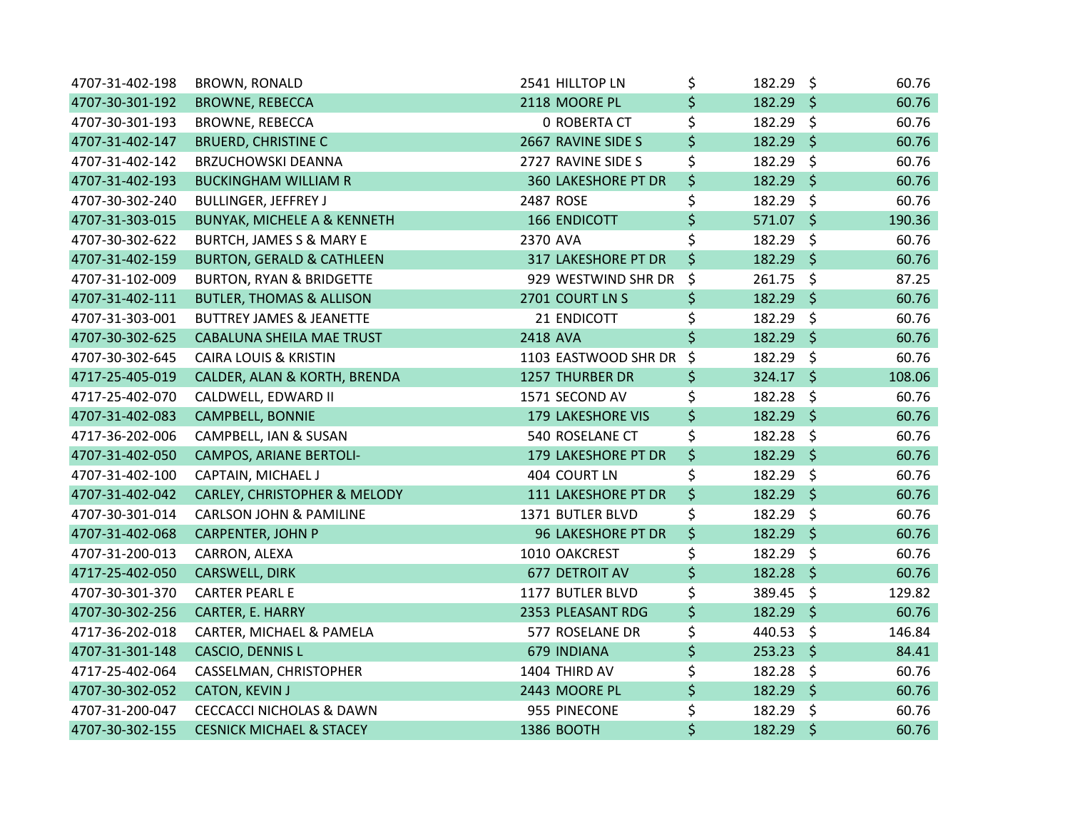| 4707-31-402-198 | <b>BROWN, RONALD</b>                   | 2541 HILLTOP LN            | \$<br>182.29 \$   |         | 60.76  |
|-----------------|----------------------------------------|----------------------------|-------------------|---------|--------|
| 4707-30-301-192 | <b>BROWNE, REBECCA</b>                 | 2118 MOORE PL              | \$<br>$182.29$ \$ |         | 60.76  |
| 4707-30-301-193 | <b>BROWNE, REBECCA</b>                 | <b>0 ROBERTA CT</b>        | \$<br>182.29 \$   |         | 60.76  |
| 4707-31-402-147 | <b>BRUERD, CHRISTINE C</b>             | 2667 RAVINE SIDE S         | \$<br>182.29 \$   |         | 60.76  |
| 4707-31-402-142 | <b>BRZUCHOWSKI DEANNA</b>              | 2727 RAVINE SIDE S         | \$<br>182.29 \$   |         | 60.76  |
| 4707-31-402-193 | <b>BUCKINGHAM WILLIAM R</b>            | <b>360 LAKESHORE PT DR</b> | \$<br>182.29 \$   |         | 60.76  |
| 4707-30-302-240 | <b>BULLINGER, JEFFREY J</b>            | 2487 ROSE                  | \$<br>182.29      | $\zeta$ | 60.76  |
| 4707-31-303-015 | <b>BUNYAK, MICHELE A &amp; KENNETH</b> | <b>166 ENDICOTT</b>        | \$<br>571.07 \$   |         | 190.36 |
| 4707-30-302-622 | <b>BURTCH, JAMES S &amp; MARY E</b>    | 2370 AVA                   | \$<br>182.29 \$   |         | 60.76  |
| 4707-31-402-159 | <b>BURTON, GERALD &amp; CATHLEEN</b>   | 317 LAKESHORE PT DR        | \$<br>182.29 \$   |         | 60.76  |
| 4707-31-102-009 | <b>BURTON, RYAN &amp; BRIDGETTE</b>    | 929 WESTWIND SHR DR        | \$<br>261.75 \$   |         | 87.25  |
| 4707-31-402-111 | <b>BUTLER, THOMAS &amp; ALLISON</b>    | 2701 COURT LN S            | \$<br>182.29 \$   |         | 60.76  |
| 4707-31-303-001 | <b>BUTTREY JAMES &amp; JEANETTE</b>    | 21 ENDICOTT                | \$<br>182.29 \$   |         | 60.76  |
| 4707-30-302-625 | <b>CABALUNA SHEILA MAE TRUST</b>       | 2418 AVA                   | \$<br>182.29 \$   |         | 60.76  |
| 4707-30-302-645 | <b>CAIRA LOUIS &amp; KRISTIN</b>       | 1103 EASTWOOD SHR DR       | \$<br>182.29 \$   |         | 60.76  |
| 4717-25-405-019 | CALDER, ALAN & KORTH, BRENDA           | <b>1257 THURBER DR</b>     | \$<br>$324.17$ \$ |         | 108.06 |
| 4717-25-402-070 | CALDWELL, EDWARD II                    | 1571 SECOND AV             | \$<br>182.28      | \$      | 60.76  |
| 4707-31-402-083 | <b>CAMPBELL, BONNIE</b>                | <b>179 LAKESHORE VIS</b>   | \$<br>182.29 \$   |         | 60.76  |
| 4717-36-202-006 | CAMPBELL, IAN & SUSAN                  | 540 ROSELANE CT            | \$<br>182.28 \$   |         | 60.76  |
| 4707-31-402-050 | <b>CAMPOS, ARIANE BERTOLI-</b>         | 179 LAKESHORE PT DR        | \$<br>182.29 \$   |         | 60.76  |
| 4707-31-402-100 | CAPTAIN, MICHAEL J                     | 404 COURT LN               | \$<br>182.29 \$   |         | 60.76  |
| 4707-31-402-042 | CARLEY, CHRISTOPHER & MELODY           | 111 LAKESHORE PT DR        | \$<br>$182.29$ \$ |         | 60.76  |
| 4707-30-301-014 | <b>CARLSON JOHN &amp; PAMILINE</b>     | 1371 BUTLER BLVD           | \$<br>182.29 \$   |         | 60.76  |
| 4707-31-402-068 | <b>CARPENTER, JOHN P</b>               | <b>96 LAKESHORE PT DR</b>  | \$<br>182.29 \$   |         | 60.76  |
| 4707-31-200-013 | CARRON, ALEXA                          | 1010 OAKCREST              | \$<br>182.29      | - \$    | 60.76  |
| 4717-25-402-050 | <b>CARSWELL, DIRK</b>                  | 677 DETROIT AV             | \$<br>182.28      | $\zeta$ | 60.76  |
| 4707-30-301-370 | <b>CARTER PEARL E</b>                  | 1177 BUTLER BLVD           | \$<br>389.45 \$   |         | 129.82 |
| 4707-30-302-256 | CARTER, E. HARRY                       | 2353 PLEASANT RDG          | \$<br>182.29 \$   |         | 60.76  |
| 4717-36-202-018 | CARTER, MICHAEL & PAMELA               | 577 ROSELANE DR            | \$<br>440.53 \$   |         | 146.84 |
| 4707-31-301-148 | CASCIO, DENNIS L                       | 679 INDIANA                | \$<br>$253.23$ \$ |         | 84.41  |
| 4717-25-402-064 | CASSELMAN, CHRISTOPHER                 | 1404 THIRD AV              | \$<br>182.28 \$   |         | 60.76  |
| 4707-30-302-052 | <b>CATON, KEVIN J</b>                  | 2443 MOORE PL              | \$<br>182.29 \$   |         | 60.76  |
| 4707-31-200-047 | <b>CECCACCI NICHOLAS &amp; DAWN</b>    | 955 PINECONE               | \$<br>182.29      | \$      | 60.76  |
| 4707-30-302-155 | <b>CESNICK MICHAEL &amp; STACEY</b>    | 1386 BOOTH                 | \$<br>182.29 \$   |         | 60.76  |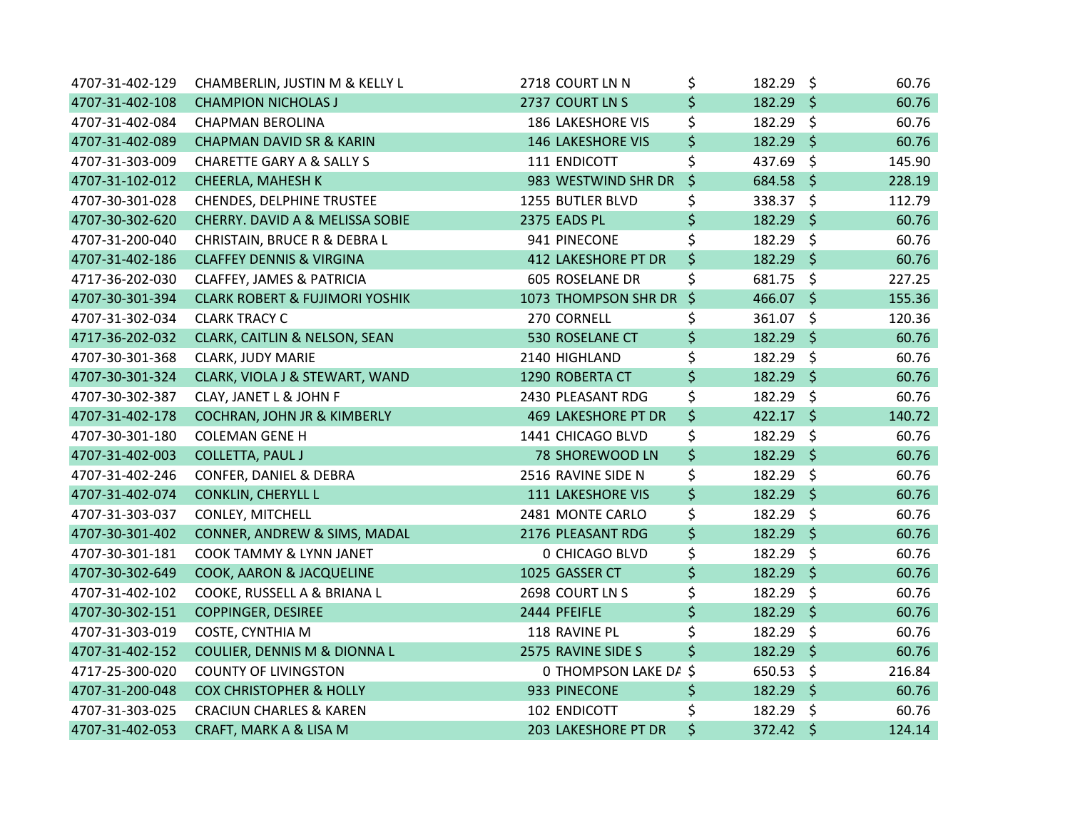| 4707-31-402-129 | CHAMBERLIN, JUSTIN M & KELLY L            | 2718 COURT LN N            | \$<br>182.29 \$   |         | 60.76  |
|-----------------|-------------------------------------------|----------------------------|-------------------|---------|--------|
| 4707-31-402-108 | <b>CHAMPION NICHOLAS J</b>                | 2737 COURT LN S            | \$<br>182.29 \$   |         | 60.76  |
| 4707-31-402-084 | <b>CHAPMAN BEROLINA</b>                   | <b>186 LAKESHORE VIS</b>   | \$<br>182.29 \$   |         | 60.76  |
| 4707-31-402-089 | <b>CHAPMAN DAVID SR &amp; KARIN</b>       | <b>146 LAKESHORE VIS</b>   | \$<br>182.29 \$   |         | 60.76  |
| 4707-31-303-009 | <b>CHARETTE GARY A &amp; SALLY S</b>      | 111 ENDICOTT               | \$<br>437.69 \$   |         | 145.90 |
| 4707-31-102-012 | CHEERLA, MAHESH K                         | 983 WESTWIND SHR DR        | \$<br>684.58 \$   |         | 228.19 |
| 4707-30-301-028 | <b>CHENDES, DELPHINE TRUSTEE</b>          | 1255 BUTLER BLVD           | \$<br>338.37      | \$      | 112.79 |
| 4707-30-302-620 | CHERRY. DAVID A & MELISSA SOBIE           | 2375 EADS PL               | \$<br>182.29      | $\zeta$ | 60.76  |
| 4707-31-200-040 | CHRISTAIN, BRUCE R & DEBRA L              | 941 PINECONE               | \$<br>182.29 \$   |         | 60.76  |
| 4707-31-402-186 | <b>CLAFFEY DENNIS &amp; VIRGINA</b>       | 412 LAKESHORE PT DR        | \$<br>182.29 \$   |         | 60.76  |
| 4717-36-202-030 | <b>CLAFFEY, JAMES &amp; PATRICIA</b>      | 605 ROSELANE DR            | \$<br>681.75 \$   |         | 227.25 |
| 4707-30-301-394 | <b>CLARK ROBERT &amp; FUJIMORI YOSHIK</b> | 1073 THOMPSON SHR DR \$    | 466.07 \$         |         | 155.36 |
| 4707-31-302-034 | <b>CLARK TRACY C</b>                      | 270 CORNELL                | \$<br>361.07 \$   |         | 120.36 |
| 4717-36-202-032 | CLARK, CAITLIN & NELSON, SEAN             | 530 ROSELANE CT            | \$<br>182.29 \$   |         | 60.76  |
| 4707-30-301-368 | <b>CLARK, JUDY MARIE</b>                  | 2140 HIGHLAND              | \$<br>182.29 \$   |         | 60.76  |
| 4707-30-301-324 | CLARK, VIOLA J & STEWART, WAND            | 1290 ROBERTA CT            | \$<br>182.29 \$   |         | 60.76  |
| 4707-30-302-387 | CLAY, JANET L & JOHN F                    | 2430 PLEASANT RDG          | \$<br>182.29 \$   |         | 60.76  |
| 4707-31-402-178 | COCHRAN, JOHN JR & KIMBERLY               | <b>469 LAKESHORE PT DR</b> | \$<br>$422.17$ \$ |         | 140.72 |
| 4707-30-301-180 | <b>COLEMAN GENE H</b>                     | 1441 CHICAGO BLVD          | \$<br>182.29 \$   |         | 60.76  |
| 4707-31-402-003 | COLLETTA, PAUL J                          | 78 SHOREWOOD LN            | \$<br>182.29 \$   |         | 60.76  |
| 4707-31-402-246 | CONFER, DANIEL & DEBRA                    | 2516 RAVINE SIDE N         | \$<br>182.29 \$   |         | 60.76  |
| 4707-31-402-074 | <b>CONKLIN, CHERYLL L</b>                 | 111 LAKESHORE VIS          | \$<br>182.29 \$   |         | 60.76  |
| 4707-31-303-037 | <b>CONLEY, MITCHELL</b>                   | 2481 MONTE CARLO           | \$<br>182.29 \$   |         | 60.76  |
| 4707-30-301-402 | CONNER, ANDREW & SIMS, MADAL              | 2176 PLEASANT RDG          | \$<br>182.29 \$   |         | 60.76  |
| 4707-30-301-181 | COOK TAMMY & LYNN JANET                   | <b>0 CHICAGO BLVD</b>      | \$<br>182.29      | - \$    | 60.76  |
| 4707-30-302-649 | COOK, AARON & JACQUELINE                  | 1025 GASSER CT             | \$<br>182.29 \$   |         | 60.76  |
| 4707-31-402-102 | COOKE, RUSSELL A & BRIANA L               | 2698 COURT LN S            | \$<br>182.29 \$   |         | 60.76  |
| 4707-30-302-151 | <b>COPPINGER, DESIREE</b>                 | 2444 PFEIFLE               | \$<br>182.29 \$   |         | 60.76  |
| 4707-31-303-019 | COSTE, CYNTHIA M                          | 118 RAVINE PL              | \$<br>182.29 \$   |         | 60.76  |
| 4707-31-402-152 | COULIER, DENNIS M & DIONNA L              | 2575 RAVINE SIDE S         | \$<br>182.29      | $\zeta$ | 60.76  |
| 4717-25-300-020 | <b>COUNTY OF LIVINGSTON</b>               | O THOMPSON LAKE DA \$      | 650.53 \$         |         | 216.84 |
| 4707-31-200-048 | <b>COX CHRISTOPHER &amp; HOLLY</b>        | 933 PINECONE               | \$<br>182.29 \$   |         | 60.76  |
| 4707-31-303-025 | <b>CRACIUN CHARLES &amp; KAREN</b>        | 102 ENDICOTT               | \$<br>182.29 \$   |         | 60.76  |
| 4707-31-402-053 | CRAFT, MARK A & LISA M                    | 203 LAKESHORE PT DR        | \$<br>372.42 \$   |         | 124.14 |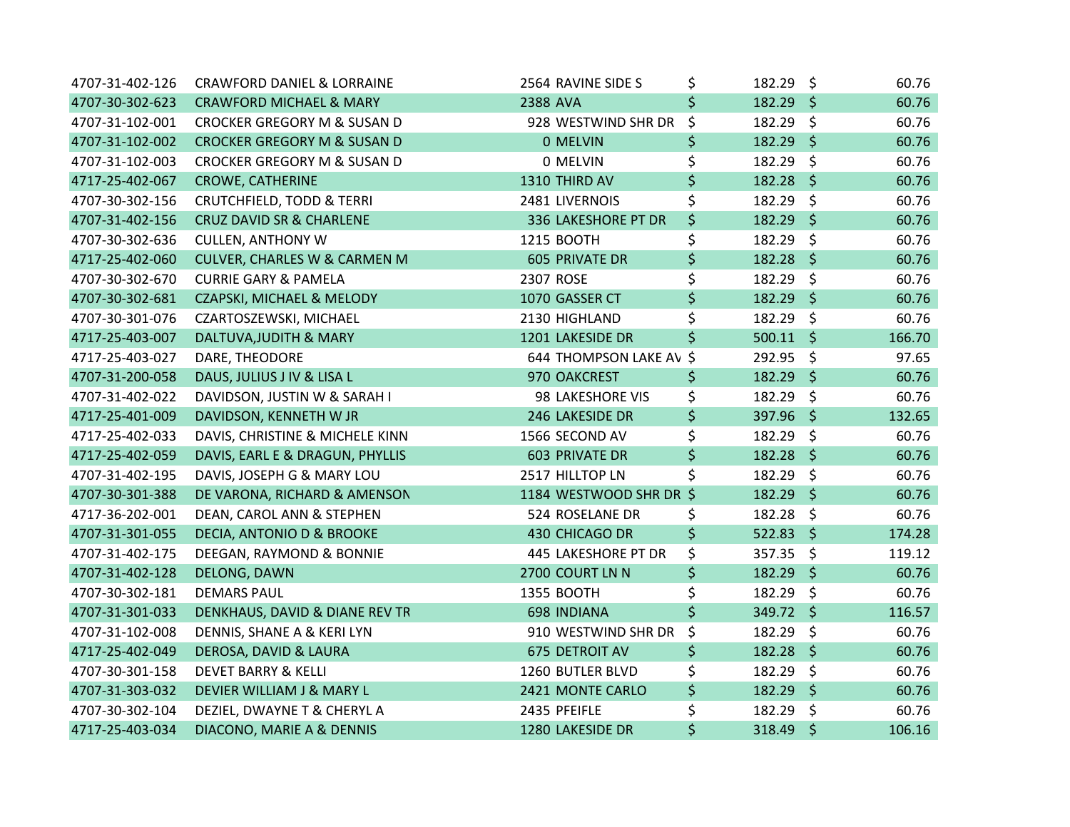| 4707-31-402-126 | <b>CRAWFORD DANIEL &amp; LORRAINE</b>  | 2564 RAVINE SIDE S      | \$<br>182.29 \$   | 60.76  |
|-----------------|----------------------------------------|-------------------------|-------------------|--------|
| 4707-30-302-623 | <b>CRAWFORD MICHAEL &amp; MARY</b>     | 2388 AVA                | \$<br>$182.29$ \$ | 60.76  |
| 4707-31-102-001 | CROCKER GREGORY M & SUSAN D            | 928 WESTWIND SHR DR     | \$<br>182.29 \$   | 60.76  |
| 4707-31-102-002 | <b>CROCKER GREGORY M &amp; SUSAN D</b> | 0 MELVIN                | \$<br>182.29 \$   | 60.76  |
| 4707-31-102-003 | CROCKER GREGORY M & SUSAN D            | 0 MELVIN                | \$<br>182.29 \$   | 60.76  |
| 4717-25-402-067 | <b>CROWE, CATHERINE</b>                | 1310 THIRD AV           | \$<br>182.28 \$   | 60.76  |
| 4707-30-302-156 | <b>CRUTCHFIELD, TODD &amp; TERRI</b>   | 2481 LIVERNOIS          | \$<br>182.29 \$   | 60.76  |
| 4707-31-402-156 | <b>CRUZ DAVID SR &amp; CHARLENE</b>    | 336 LAKESHORE PT DR     | \$<br>182.29 \$   | 60.76  |
| 4707-30-302-636 | <b>CULLEN, ANTHONY W</b>               | 1215 BOOTH              | \$<br>182.29 \$   | 60.76  |
| 4717-25-402-060 | CULVER, CHARLES W & CARMEN M           | <b>605 PRIVATE DR</b>   | \$<br>182.28 \$   | 60.76  |
| 4707-30-302-670 | <b>CURRIE GARY &amp; PAMELA</b>        | 2307 ROSE               | \$<br>182.29 \$   | 60.76  |
| 4707-30-302-681 | CZAPSKI, MICHAEL & MELODY              | 1070 GASSER CT          | \$<br>182.29 \$   | 60.76  |
| 4707-30-301-076 | CZARTOSZEWSKI, MICHAEL                 | 2130 HIGHLAND           | \$<br>182.29 \$   | 60.76  |
| 4717-25-403-007 | DALTUVA, JUDITH & MARY                 | 1201 LAKESIDE DR        | \$<br>$500.11$ \$ | 166.70 |
| 4717-25-403-027 | DARE, THEODORE                         | 644 THOMPSON LAKE AV \$ | 292.95 \$         | 97.65  |
| 4707-31-200-058 | DAUS, JULIUS J IV & LISA L             | 970 OAKCREST            | \$<br>$182.29$ \$ | 60.76  |
| 4707-31-402-022 | DAVIDSON, JUSTIN W & SARAH I           | 98 LAKESHORE VIS        | \$<br>182.29 \$   | 60.76  |
| 4717-25-401-009 | DAVIDSON, KENNETH W JR                 | 246 LAKESIDE DR         | \$<br>397.96 \$   | 132.65 |
| 4717-25-402-033 | DAVIS, CHRISTINE & MICHELE KINN        | 1566 SECOND AV          | \$<br>182.29 \$   | 60.76  |
| 4717-25-402-059 | DAVIS, EARL E & DRAGUN, PHYLLIS        | <b>603 PRIVATE DR</b>   | \$<br>182.28 \$   | 60.76  |
| 4707-31-402-195 | DAVIS, JOSEPH G & MARY LOU             | 2517 HILLTOP LN         | \$<br>182.29 \$   | 60.76  |
| 4707-30-301-388 | DE VARONA, RICHARD & AMENSON           | 1184 WESTWOOD SHR DR \$ | $182.29$ \$       | 60.76  |
| 4717-36-202-001 | DEAN, CAROL ANN & STEPHEN              | 524 ROSELANE DR         | \$<br>182.28 \$   | 60.76  |
| 4707-31-301-055 | DECIA, ANTONIO D & BROOKE              | 430 CHICAGO DR          | \$<br>$522.83$ \$ | 174.28 |
| 4707-31-402-175 | DEEGAN, RAYMOND & BONNIE               | 445 LAKESHORE PT DR     | \$<br>$357.35$ \$ | 119.12 |
| 4707-31-402-128 | DELONG, DAWN                           | 2700 COURT LN N         | \$<br>182.29 \$   | 60.76  |
| 4707-30-302-181 | <b>DEMARS PAUL</b>                     | 1355 BOOTH              | \$<br>182.29 \$   | 60.76  |
| 4707-31-301-033 | DENKHAUS, DAVID & DIANE REV TR         | 698 INDIANA             | \$<br>349.72 \$   | 116.57 |
| 4707-31-102-008 | DENNIS, SHANE A & KERI LYN             | 910 WESTWIND SHR DR     | \$<br>182.29 \$   | 60.76  |
| 4717-25-402-049 | DEROSA, DAVID & LAURA                  | 675 DETROIT AV          | \$<br>$182.28$ \$ | 60.76  |
| 4707-30-301-158 | <b>DEVET BARRY &amp; KELLI</b>         | 1260 BUTLER BLVD        | \$<br>182.29 \$   | 60.76  |
| 4707-31-303-032 | DEVIER WILLIAM J & MARY L              | 2421 MONTE CARLO        | \$<br>182.29 \$   | 60.76  |
| 4707-30-302-104 | DEZIEL, DWAYNE T & CHERYL A            | 2435 PFEIFLE            | \$<br>182.29 \$   | 60.76  |
| 4717-25-403-034 | DIACONO, MARIE A & DENNIS              | 1280 LAKESIDE DR        | \$<br>318.49 \$   | 106.16 |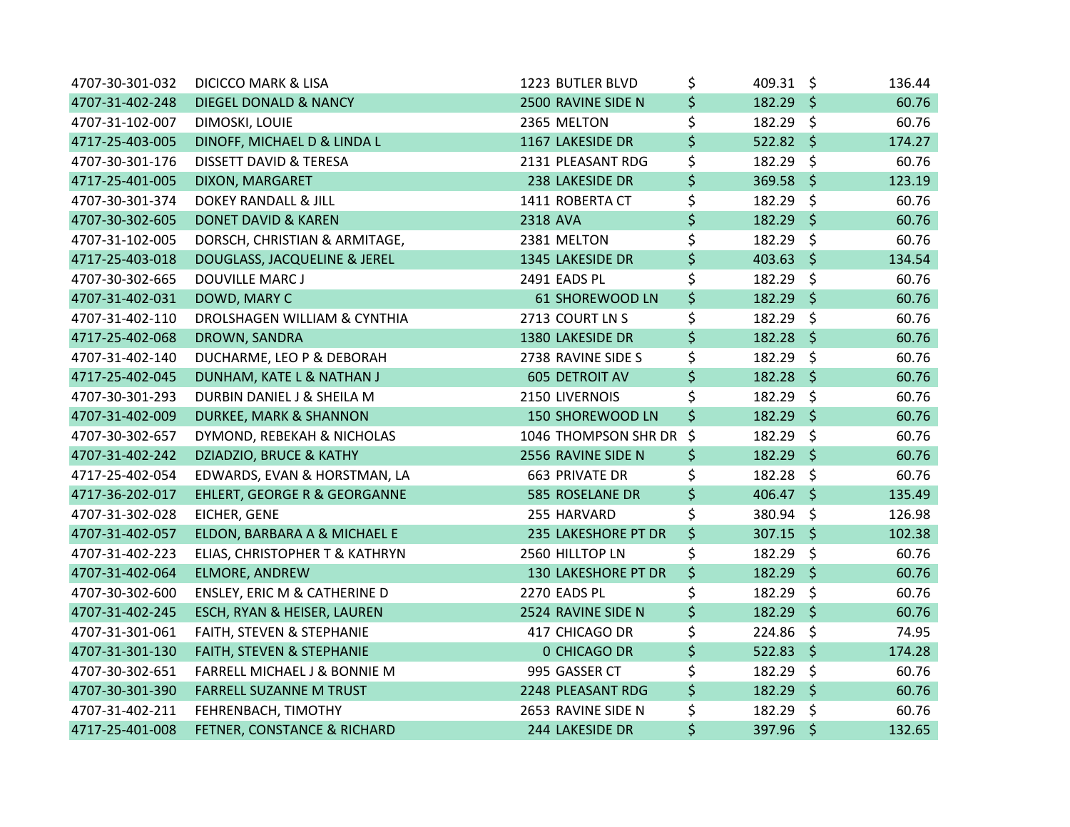| 4707-30-301-032 | <b>DICICCO MARK &amp; LISA</b>    | 1223 BUTLER BLVD      | \$<br>409.31 \$   | 136.44      |
|-----------------|-----------------------------------|-----------------------|-------------------|-------------|
| 4707-31-402-248 | DIEGEL DONALD & NANCY             | 2500 RAVINE SIDE N    | \$<br>182.29 \$   | 60.76       |
| 4707-31-102-007 | DIMOSKI, LOUIE                    | 2365 MELTON           | \$<br>182.29 \$   | 60.76       |
| 4717-25-403-005 | DINOFF, MICHAEL D & LINDA L       | 1167 LAKESIDE DR      | \$<br>522.82 \$   | 174.27      |
| 4707-30-301-176 | DISSETT DAVID & TERESA            | 2131 PLEASANT RDG     | \$<br>182.29 \$   | 60.76       |
| 4717-25-401-005 | DIXON, MARGARET                   | 238 LAKESIDE DR       | \$<br>369.58 \$   | 123.19      |
| 4707-30-301-374 | DOKEY RANDALL & JILL              | 1411 ROBERTA CT       | \$<br>182.29 \$   | 60.76       |
| 4707-30-302-605 | <b>DONET DAVID &amp; KAREN</b>    | 2318 AVA              | \$<br>182.29 \$   | 60.76       |
| 4707-31-102-005 | DORSCH, CHRISTIAN & ARMITAGE,     | 2381 MELTON           | \$<br>182.29      | \$<br>60.76 |
| 4717-25-403-018 | DOUGLASS, JACQUELINE & JEREL      | 1345 LAKESIDE DR      | \$<br>403.63 \$   | 134.54      |
| 4707-30-302-665 | <b>DOUVILLE MARC J</b>            | 2491 EADS PL          | \$<br>182.29 \$   | 60.76       |
| 4707-31-402-031 | DOWD, MARY C                      | 61 SHOREWOOD LN       | \$<br>182.29 \$   | 60.76       |
| 4707-31-402-110 | DROLSHAGEN WILLIAM & CYNTHIA      | 2713 COURT LN S       | \$<br>182.29 \$   | 60.76       |
| 4717-25-402-068 | DROWN, SANDRA                     | 1380 LAKESIDE DR      | \$<br>182.28 \$   | 60.76       |
| 4707-31-402-140 | DUCHARME, LEO P & DEBORAH         | 2738 RAVINE SIDE S    | \$<br>182.29 \$   | 60.76       |
| 4717-25-402-045 | DUNHAM, KATE L & NATHAN J         | <b>605 DETROIT AV</b> | \$<br>$182.28$ \$ | 60.76       |
| 4707-30-301-293 | DURBIN DANIEL J & SHEILA M        | 2150 LIVERNOIS        | \$<br>182.29 \$   | 60.76       |
| 4707-31-402-009 | <b>DURKEE, MARK &amp; SHANNON</b> | 150 SHOREWOOD LN      | \$<br>182.29 \$   | 60.76       |
| 4707-30-302-657 | DYMOND, REBEKAH & NICHOLAS        | 1046 THOMPSON SHR DR  | \$<br>182.29 \$   | 60.76       |
| 4707-31-402-242 | DZIADZIO, BRUCE & KATHY           | 2556 RAVINE SIDE N    | \$<br>182.29 \$   | 60.76       |
| 4717-25-402-054 | EDWARDS, EVAN & HORSTMAN, LA      | 663 PRIVATE DR        | \$<br>182.28 \$   | 60.76       |
| 4717-36-202-017 | EHLERT, GEORGE R & GEORGANNE      | 585 ROSELANE DR       | \$<br>406.47 \$   | 135.49      |
| 4707-31-302-028 | EICHER, GENE                      | 255 HARVARD           | \$<br>380.94 \$   | 126.98      |
| 4707-31-402-057 | ELDON, BARBARA A & MICHAEL E      | 235 LAKESHORE PT DR   | \$<br>307.15 \$   | 102.38      |
| 4707-31-402-223 | ELIAS, CHRISTOPHER T & KATHRYN    | 2560 HILLTOP LN       | \$<br>182.29 \$   | 60.76       |
| 4707-31-402-064 | <b>ELMORE, ANDREW</b>             | 130 LAKESHORE PT DR   | \$<br>182.29 \$   | 60.76       |
| 4707-30-302-600 | ENSLEY, ERIC M & CATHERINE D      | 2270 EADS PL          | \$<br>182.29 \$   | 60.76       |
| 4707-31-402-245 | ESCH, RYAN & HEISER, LAUREN       | 2524 RAVINE SIDE N    | \$<br>182.29 \$   | 60.76       |
| 4707-31-301-061 | FAITH, STEVEN & STEPHANIE         | 417 CHICAGO DR        | \$<br>224.86 \$   | 74.95       |
| 4707-31-301-130 | FAITH, STEVEN & STEPHANIE         | 0 CHICAGO DR          | \$<br>$522.83$ \$ | 174.28      |
| 4707-30-302-651 | FARRELL MICHAEL J & BONNIE M      | 995 GASSER CT         | \$<br>182.29 \$   | 60.76       |
| 4707-30-301-390 | <b>FARRELL SUZANNE M TRUST</b>    | 2248 PLEASANT RDG     | \$<br>182.29 \$   | 60.76       |
| 4707-31-402-211 | FEHRENBACH, TIMOTHY               | 2653 RAVINE SIDE N    | \$<br>182.29 \$   | 60.76       |
| 4717-25-401-008 | FETNER, CONSTANCE & RICHARD       | 244 LAKESIDE DR       | \$<br>397.96 \$   | 132.65      |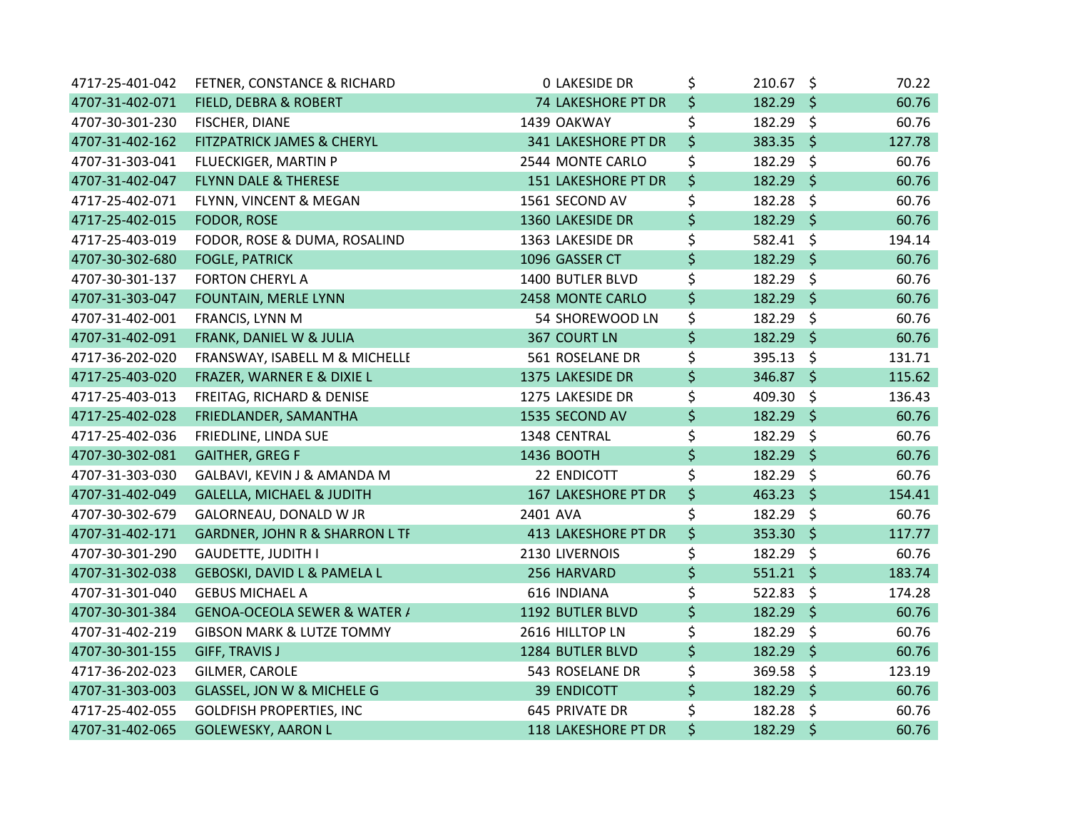| 4717-25-401-042 | FETNER, CONSTANCE & RICHARD               | <b>0 LAKESIDE DR</b> | \$<br>$210.67$ \$ | 70.22  |
|-----------------|-------------------------------------------|----------------------|-------------------|--------|
| 4707-31-402-071 | FIELD, DEBRA & ROBERT                     | 74 LAKESHORE PT DR   | \$<br>182.29 \$   | 60.76  |
| 4707-30-301-230 | FISCHER, DIANE                            | 1439 OAKWAY          | \$<br>182.29 \$   | 60.76  |
| 4707-31-402-162 | FITZPATRICK JAMES & CHERYL                | 341 LAKESHORE PT DR  | \$<br>383.35 \$   | 127.78 |
| 4707-31-303-041 | FLUECKIGER, MARTIN P                      | 2544 MONTE CARLO     | \$<br>182.29 \$   | 60.76  |
| 4707-31-402-047 | <b>FLYNN DALE &amp; THERESE</b>           | 151 LAKESHORE PT DR  | \$<br>$182.29$ \$ | 60.76  |
| 4717-25-402-071 | FLYNN, VINCENT & MEGAN                    | 1561 SECOND AV       | \$<br>182.28 \$   | 60.76  |
| 4717-25-402-015 | <b>FODOR, ROSE</b>                        | 1360 LAKESIDE DR     | \$<br>182.29 \$   | 60.76  |
| 4717-25-403-019 | FODOR, ROSE & DUMA, ROSALIND              | 1363 LAKESIDE DR     | \$<br>582.41 \$   | 194.14 |
| 4707-30-302-680 | <b>FOGLE, PATRICK</b>                     | 1096 GASSER CT       | \$<br>182.29 \$   | 60.76  |
| 4707-30-301-137 | <b>FORTON CHERYL A</b>                    | 1400 BUTLER BLVD     | \$<br>182.29 \$   | 60.76  |
| 4707-31-303-047 | FOUNTAIN, MERLE LYNN                      | 2458 MONTE CARLO     | \$<br>182.29 \$   | 60.76  |
| 4707-31-402-001 | FRANCIS, LYNN M                           | 54 SHOREWOOD LN      | \$<br>182.29 \$   | 60.76  |
| 4707-31-402-091 | FRANK, DANIEL W & JULIA                   | <b>367 COURT LN</b>  | \$<br>182.29 \$   | 60.76  |
| 4717-36-202-020 | FRANSWAY, ISABELL M & MICHELLE            | 561 ROSELANE DR      | \$<br>395.13 \$   | 131.71 |
| 4717-25-403-020 | FRAZER, WARNER E & DIXIE L                | 1375 LAKESIDE DR     | \$<br>346.87 \$   | 115.62 |
| 4717-25-403-013 | FREITAG, RICHARD & DENISE                 | 1275 LAKESIDE DR     | \$<br>409.30 \$   | 136.43 |
| 4717-25-402-028 | FRIEDLANDER, SAMANTHA                     | 1535 SECOND AV       | \$<br>182.29 \$   | 60.76  |
| 4717-25-402-036 | FRIEDLINE, LINDA SUE                      | 1348 CENTRAL         | \$<br>182.29 \$   | 60.76  |
| 4707-30-302-081 | <b>GAITHER, GREG F</b>                    | 1436 BOOTH           | \$<br>182.29 \$   | 60.76  |
| 4707-31-303-030 | GALBAVI, KEVIN J & AMANDA M               | 22 ENDICOTT          | \$<br>182.29 \$   | 60.76  |
| 4707-31-402-049 | <b>GALELLA, MICHAEL &amp; JUDITH</b>      | 167 LAKESHORE PT DR  | \$<br>463.23 \$   | 154.41 |
| 4707-30-302-679 | GALORNEAU, DONALD W JR                    | 2401 AVA             | \$<br>182.29 \$   | 60.76  |
| 4707-31-402-171 | <b>GARDNER, JOHN R &amp; SHARRON L TF</b> | 413 LAKESHORE PT DR  | \$<br>$353.30$ \$ | 117.77 |
| 4707-30-301-290 | <b>GAUDETTE, JUDITH I</b>                 | 2130 LIVERNOIS       | \$<br>$182.29$ \$ | 60.76  |
| 4707-31-302-038 | GEBOSKI, DAVID L & PAMELA L               | 256 HARVARD          | \$<br>$551.21$ \$ | 183.74 |
| 4707-31-301-040 | <b>GEBUS MICHAEL A</b>                    | 616 INDIANA          | \$<br>$522.83$ \$ | 174.28 |
| 4707-30-301-384 | GENOA-OCEOLA SEWER & WATER /              | 1192 BUTLER BLVD     | \$<br>182.29 \$   | 60.76  |
| 4707-31-402-219 | <b>GIBSON MARK &amp; LUTZE TOMMY</b>      | 2616 HILLTOP LN      | \$<br>182.29 \$   | 60.76  |
| 4707-30-301-155 | <b>GIFF, TRAVIS J</b>                     | 1284 BUTLER BLVD     | \$<br>182.29 \$   | 60.76  |
| 4717-36-202-023 | GILMER, CAROLE                            | 543 ROSELANE DR      | \$<br>369.58 \$   | 123.19 |
| 4707-31-303-003 | GLASSEL, JON W & MICHELE G                | <b>39 ENDICOTT</b>   | \$<br>182.29 \$   | 60.76  |
| 4717-25-402-055 | <b>GOLDFISH PROPERTIES, INC</b>           | 645 PRIVATE DR       | \$<br>182.28 \$   | 60.76  |
| 4707-31-402-065 | <b>GOLEWESKY, AARON L</b>                 | 118 LAKESHORE PT DR  | \$<br>182.29 \$   | 60.76  |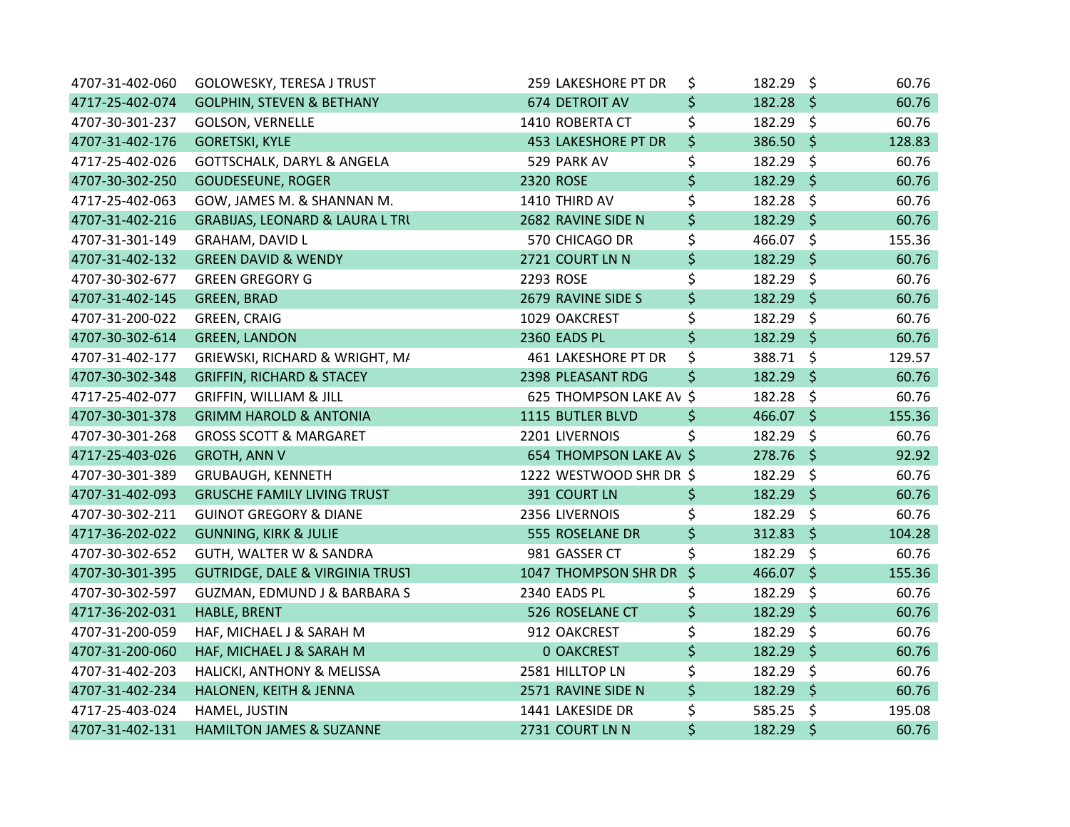| 4707-31-402-060 | <b>GOLOWESKY, TERESA J TRUST</b>           | 259 LAKESHORE PT DR     | \$      | 182.29 \$   | 60.76  |
|-----------------|--------------------------------------------|-------------------------|---------|-------------|--------|
| 4717-25-402-074 | <b>GOLPHIN, STEVEN &amp; BETHANY</b>       | 674 DETROIT AV          | \$      | $182.28$ \$ | 60.76  |
| 4707-30-301-237 | <b>GOLSON, VERNELLE</b>                    | 1410 ROBERTA CT         | \$      | 182.29 \$   | 60.76  |
| 4707-31-402-176 | <b>GORETSKI, KYLE</b>                      | 453 LAKESHORE PT DR     | \$      | 386.50 \$   | 128.83 |
| 4717-25-402-026 | GOTTSCHALK, DARYL & ANGELA                 | 529 PARK AV             | \$      | 182.29 \$   | 60.76  |
| 4707-30-302-250 | <b>GOUDESEUNE, ROGER</b>                   | 2320 ROSE               | \$      | 182.29 \$   | 60.76  |
| 4717-25-402-063 | GOW, JAMES M. & SHANNAN M.                 | 1410 THIRD AV           | \$      | 182.28 \$   | 60.76  |
| 4707-31-402-216 | <b>GRABIJAS, LEONARD &amp; LAURA L TRI</b> | 2682 RAVINE SIDE N      | \$      | 182.29 \$   | 60.76  |
| 4707-31-301-149 | GRAHAM, DAVID L                            | 570 CHICAGO DR          | \$      | 466.07 \$   | 155.36 |
| 4707-31-402-132 | <b>GREEN DAVID &amp; WENDY</b>             | 2721 COURT LN N         | \$      | 182.29 \$   | 60.76  |
| 4707-30-302-677 | <b>GREEN GREGORY G</b>                     | 2293 ROSE               | \$      | 182.29 \$   | 60.76  |
| 4707-31-402-145 | <b>GREEN, BRAD</b>                         | 2679 RAVINE SIDE S      | \$      | 182.29 \$   | 60.76  |
| 4707-31-200-022 | GREEN, CRAIG                               | 1029 OAKCREST           | \$      | 182.29 \$   | 60.76  |
| 4707-30-302-614 | <b>GREEN, LANDON</b>                       | 2360 EADS PL            | \$      | 182.29 \$   | 60.76  |
| 4707-31-402-177 | GRIEWSKI, RICHARD & WRIGHT, M/             | 461 LAKESHORE PT DR     | \$      | 388.71 \$   | 129.57 |
| 4707-30-302-348 | <b>GRIFFIN, RICHARD &amp; STACEY</b>       | 2398 PLEASANT RDG       | \$      | $182.29$ \$ | 60.76  |
| 4717-25-402-077 | <b>GRIFFIN, WILLIAM &amp; JILL</b>         | 625 THOMPSON LAKE AV \$ |         | 182.28 \$   | 60.76  |
| 4707-30-301-378 | <b>GRIMM HAROLD &amp; ANTONIA</b>          | 1115 BUTLER BLVD        | \$      | 466.07 \$   | 155.36 |
| 4707-30-301-268 | <b>GROSS SCOTT &amp; MARGARET</b>          | 2201 LIVERNOIS          | \$      | 182.29 \$   | 60.76  |
| 4717-25-403-026 | <b>GROTH, ANN V</b>                        | 654 THOMPSON LAKE AV \$ |         | 278.76 \$   | 92.92  |
| 4707-30-301-389 | GRUBAUGH, KENNETH                          | 1222 WESTWOOD SHR DR \$ |         | 182.29 \$   | 60.76  |
| 4707-31-402-093 | <b>GRUSCHE FAMILY LIVING TRUST</b>         | 391 COURT LN            | \$      | $182.29$ \$ | 60.76  |
| 4707-30-302-211 | <b>GUINOT GREGORY &amp; DIANE</b>          | 2356 LIVERNOIS          | \$      | 182.29 \$   | 60.76  |
| 4717-36-202-022 | <b>GUNNING, KIRK &amp; JULIE</b>           | 555 ROSELANE DR         | \$      | $312.83$ \$ | 104.28 |
| 4707-30-302-652 | GUTH, WALTER W & SANDRA                    | 981 GASSER CT           | \$      | 182.29 \$   | 60.76  |
| 4707-30-301-395 | <b>GUTRIDGE, DALE &amp; VIRGINIA TRUST</b> | 1047 THOMPSON SHR DR    | $\zeta$ | 466.07 \$   | 155.36 |
| 4707-30-302-597 | GUZMAN, EDMUND J & BARBARA S               | 2340 EADS PL            | \$      | 182.29 \$   | 60.76  |
| 4717-36-202-031 | HABLE, BRENT                               | 526 ROSELANE CT         | \$      | 182.29 \$   | 60.76  |
| 4707-31-200-059 | HAF, MICHAEL J & SARAH M                   | 912 OAKCREST            | \$      | 182.29 \$   | 60.76  |
| 4707-31-200-060 | HAF, MICHAEL J & SARAH M                   | <b>0 OAKCREST</b>       | \$      | 182.29 \$   | 60.76  |
| 4707-31-402-203 | HALICKI, ANTHONY & MELISSA                 | 2581 HILLTOP LN         | \$      | 182.29 \$   | 60.76  |
| 4707-31-402-234 | HALONEN, KEITH & JENNA                     | 2571 RAVINE SIDE N      | \$      | 182.29 \$   | 60.76  |
| 4717-25-403-024 | HAMEL, JUSTIN                              | 1441 LAKESIDE DR        | \$      | $585.25$ \$ | 195.08 |
| 4707-31-402-131 | <b>HAMILTON JAMES &amp; SUZANNE</b>        | 2731 COURT LN N         | \$      | 182.29 \$   | 60.76  |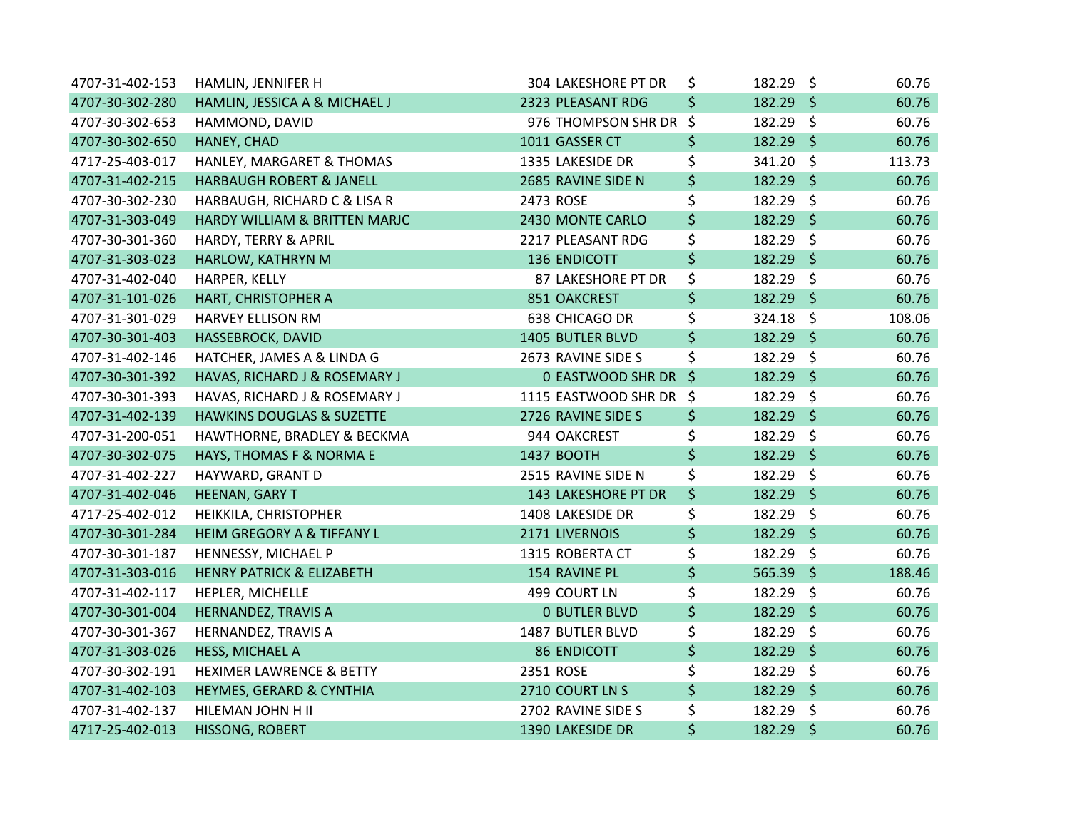| 4707-31-402-153 | HAMLIN, JENNIFER H                   | 304 LAKESHORE PT DR    | \$<br>182.29 \$   |         | 60.76  |
|-----------------|--------------------------------------|------------------------|-------------------|---------|--------|
| 4707-30-302-280 | HAMLIN, JESSICA A & MICHAEL J        | 2323 PLEASANT RDG      | \$<br>$182.29$ \$ |         | 60.76  |
| 4707-30-302-653 | HAMMOND, DAVID                       | 976 THOMPSON SHR DR \$ | 182.29 \$         |         | 60.76  |
| 4707-30-302-650 | HANEY, CHAD                          | 1011 GASSER CT         | \$<br>182.29 \$   |         | 60.76  |
| 4717-25-403-017 | HANLEY, MARGARET & THOMAS            | 1335 LAKESIDE DR       | \$<br>341.20 \$   |         | 113.73 |
| 4707-31-402-215 | HARBAUGH ROBERT & JANELL             | 2685 RAVINE SIDE N     | \$<br>$182.29$ \$ |         | 60.76  |
| 4707-30-302-230 | HARBAUGH, RICHARD C & LISA R         | 2473 ROSE              | \$<br>182.29 \$   |         | 60.76  |
| 4707-31-303-049 | HARDY WILLIAM & BRITTEN MARJO        | 2430 MONTE CARLO       | \$<br>182.29 \$   |         | 60.76  |
| 4707-30-301-360 | HARDY, TERRY & APRIL                 | 2217 PLEASANT RDG      | \$<br>182.29 \$   |         | 60.76  |
| 4707-31-303-023 | HARLOW, KATHRYN M                    | 136 ENDICOTT           | \$<br>182.29 \$   |         | 60.76  |
| 4707-31-402-040 | HARPER, KELLY                        | 87 LAKESHORE PT DR     | \$<br>182.29 \$   |         | 60.76  |
| 4707-31-101-026 | HART, CHRISTOPHER A                  | 851 OAKCREST           | \$<br>182.29 \$   |         | 60.76  |
| 4707-31-301-029 | <b>HARVEY ELLISON RM</b>             | 638 CHICAGO DR         | \$<br>$324.18$ \$ |         | 108.06 |
| 4707-30-301-403 | HASSEBROCK, DAVID                    | 1405 BUTLER BLVD       | \$<br>182.29 \$   |         | 60.76  |
| 4707-31-402-146 | HATCHER, JAMES A & LINDA G           | 2673 RAVINE SIDE S     | \$<br>182.29 \$   |         | 60.76  |
| 4707-30-301-392 | HAVAS, RICHARD J & ROSEMARY J        | 0 EASTWOOD SHR DR \$   | $182.29$ \$       |         | 60.76  |
| 4707-30-301-393 | HAVAS, RICHARD J & ROSEMARY J        | 1115 EASTWOOD SHR DR   | \$<br>182.29 \$   |         | 60.76  |
| 4707-31-402-139 | <b>HAWKINS DOUGLAS &amp; SUZETTE</b> | 2726 RAVINE SIDE S     | \$<br>182.29 \$   |         | 60.76  |
| 4707-31-200-051 | HAWTHORNE, BRADLEY & BECKMA          | 944 OAKCREST           | \$<br>182.29 \$   |         | 60.76  |
| 4707-30-302-075 | HAYS, THOMAS F & NORMA E             | 1437 BOOTH             | \$<br>182.29 \$   |         | 60.76  |
| 4707-31-402-227 | HAYWARD, GRANT D                     | 2515 RAVINE SIDE N     | \$<br>182.29 \$   |         | 60.76  |
| 4707-31-402-046 | HEENAN, GARY T                       | 143 LAKESHORE PT DR    | \$<br>$182.29$ \$ |         | 60.76  |
| 4717-25-402-012 | HEIKKILA, CHRISTOPHER                | 1408 LAKESIDE DR       | \$<br>182.29 \$   |         | 60.76  |
| 4707-30-301-284 | HEIM GREGORY A & TIFFANY L           | 2171 LIVERNOIS         | \$<br>182.29 \$   |         | 60.76  |
| 4707-30-301-187 | HENNESSY, MICHAEL P                  | 1315 ROBERTA CT        | \$<br>182.29 \$   |         | 60.76  |
| 4707-31-303-016 | <b>HENRY PATRICK &amp; ELIZABETH</b> | 154 RAVINE PL          | \$<br>$565.39$ \$ |         | 188.46 |
| 4707-31-402-117 | HEPLER, MICHELLE                     | 499 COURT LN           | \$<br>182.29 \$   |         | 60.76  |
| 4707-30-301-004 | HERNANDEZ, TRAVIS A                  | <b>0 BUTLER BLVD</b>   | \$<br>182.29 \$   |         | 60.76  |
| 4707-30-301-367 | HERNANDEZ, TRAVIS A                  | 1487 BUTLER BLVD       | \$<br>182.29 \$   |         | 60.76  |
| 4707-31-303-026 | HESS, MICHAEL A                      | <b>86 ENDICOTT</b>     | \$<br>182.29 \$   |         | 60.76  |
| 4707-30-302-191 | <b>HEXIMER LAWRENCE &amp; BETTY</b>  | 2351 ROSE              | \$<br>182.29 \$   |         | 60.76  |
| 4707-31-402-103 | HEYMES, GERARD & CYNTHIA             | 2710 COURT LN S        | \$<br>182.29 \$   |         | 60.76  |
| 4707-31-402-137 | HILEMAN JOHN H II                    | 2702 RAVINE SIDE S     | \$<br>182.29      | $\zeta$ | 60.76  |
| 4717-25-402-013 | HISSONG, ROBERT                      | 1390 LAKESIDE DR       | \$<br>182.29 \$   |         | 60.76  |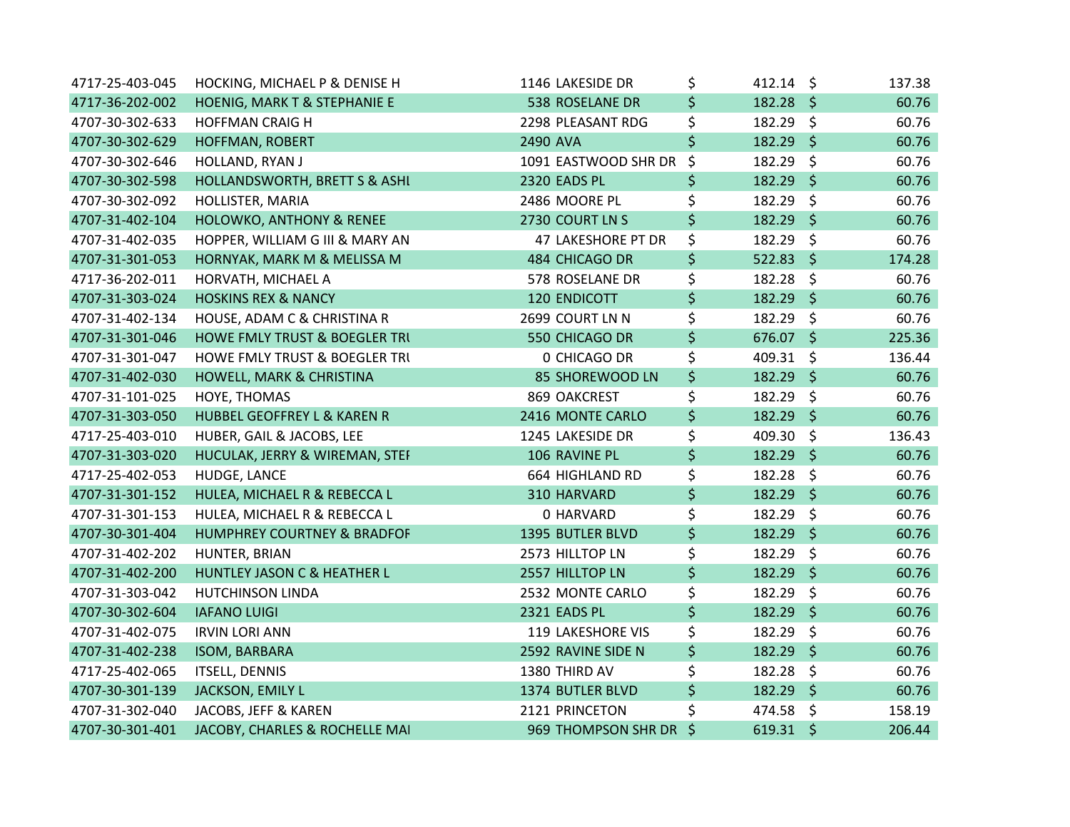| 4717-25-403-045 | HOCKING, MICHAEL P & DENISE H            | 1146 LAKESIDE DR     | \$      | $412.14 \text{ }$ | 137.38 |
|-----------------|------------------------------------------|----------------------|---------|-------------------|--------|
| 4717-36-202-002 | HOENIG, MARK T & STEPHANIE E             | 538 ROSELANE DR      | \$      | $182.28$ \$       | 60.76  |
| 4707-30-302-633 | <b>HOFFMAN CRAIG H</b>                   | 2298 PLEASANT RDG    | \$      | 182.29 \$         | 60.76  |
| 4707-30-302-629 | HOFFMAN, ROBERT                          | 2490 AVA             | \$      | 182.29 \$         | 60.76  |
| 4707-30-302-646 | HOLLAND, RYAN J                          | 1091 EASTWOOD SHR DR | \$      | 182.29 \$         | 60.76  |
| 4707-30-302-598 | HOLLANDSWORTH, BRETT S & ASHI            | 2320 EADS PL         | \$      | 182.29 \$         | 60.76  |
| 4707-30-302-092 | HOLLISTER, MARIA                         | 2486 MOORE PL        | \$      | 182.29 \$         | 60.76  |
| 4707-31-402-104 | <b>HOLOWKO, ANTHONY &amp; RENEE</b>      | 2730 COURT LN S      | \$      | 182.29 \$         | 60.76  |
| 4707-31-402-035 | HOPPER, WILLIAM G III & MARY AN          | 47 LAKESHORE PT DR   | \$      | 182.29 \$         | 60.76  |
| 4707-31-301-053 | HORNYAK, MARK M & MELISSA M              | 484 CHICAGO DR       | \$      | $522.83$ \$       | 174.28 |
| 4717-36-202-011 | HORVATH, MICHAEL A                       | 578 ROSELANE DR      | \$      | 182.28 \$         | 60.76  |
| 4707-31-303-024 | <b>HOSKINS REX &amp; NANCY</b>           | 120 ENDICOTT         | \$      | 182.29 \$         | 60.76  |
| 4707-31-402-134 | HOUSE, ADAM C & CHRISTINA R              | 2699 COURT LN N      | \$      | $182.29$ \$       | 60.76  |
| 4707-31-301-046 | HOWE FMLY TRUST & BOEGLER TRU            | 550 CHICAGO DR       | \$      | 676.07 \$         | 225.36 |
| 4707-31-301-047 | <b>HOWE FMLY TRUST &amp; BOEGLER TRI</b> | 0 CHICAGO DR         | \$      | 409.31 \$         | 136.44 |
| 4707-31-402-030 | HOWELL, MARK & CHRISTINA                 | 85 SHOREWOOD LN      | \$      | $182.29$ \$       | 60.76  |
| 4707-31-101-025 | HOYE, THOMAS                             | 869 OAKCREST         | \$      | 182.29 \$         | 60.76  |
| 4707-31-303-050 | HUBBEL GEOFFREY L & KAREN R              | 2416 MONTE CARLO     | \$      | 182.29 \$         | 60.76  |
| 4717-25-403-010 | HUBER, GAIL & JACOBS, LEE                | 1245 LAKESIDE DR     | \$      | 409.30 \$         | 136.43 |
| 4707-31-303-020 | HUCULAK, JERRY & WIREMAN, STEF           | 106 RAVINE PL        | \$      | 182.29 \$         | 60.76  |
| 4717-25-402-053 | HUDGE, LANCE                             | 664 HIGHLAND RD      | \$      | 182.28 \$         | 60.76  |
| 4707-31-301-152 | HULEA, MICHAEL R & REBECCA L             | 310 HARVARD          | \$      | 182.29 \$         | 60.76  |
| 4707-31-301-153 | HULEA, MICHAEL R & REBECCA L             | 0 HARVARD            | \$      | 182.29 \$         | 60.76  |
| 4707-30-301-404 | HUMPHREY COURTNEY & BRADFOF              | 1395 BUTLER BLVD     | \$      | 182.29 \$         | 60.76  |
| 4707-31-402-202 | HUNTER, BRIAN                            | 2573 HILLTOP LN      | \$      | 182.29 \$         | 60.76  |
| 4707-31-402-200 | HUNTLEY JASON C & HEATHER L              | 2557 HILLTOP LN      | \$      | 182.29 \$         | 60.76  |
| 4707-31-303-042 | <b>HUTCHINSON LINDA</b>                  | 2532 MONTE CARLO     | \$      | 182.29 \$         | 60.76  |
| 4707-30-302-604 | <b>IAFANO LUIGI</b>                      | 2321 EADS PL         | \$      | 182.29 \$         | 60.76  |
| 4707-31-402-075 | <b>IRVIN LORI ANN</b>                    | 119 LAKESHORE VIS    | \$      | 182.29 \$         | 60.76  |
| 4707-31-402-238 | ISOM, BARBARA                            | 2592 RAVINE SIDE N   | \$      | $182.29$ \$       | 60.76  |
| 4717-25-402-065 | <b>ITSELL, DENNIS</b>                    | 1380 THIRD AV        | \$      | 182.28 \$         | 60.76  |
| 4707-30-301-139 | JACKSON, EMILY L                         | 1374 BUTLER BLVD     | \$      | 182.29 \$         | 60.76  |
| 4707-31-302-040 | JACOBS, JEFF & KAREN                     | 2121 PRINCETON       | \$      | 474.58 \$         | 158.19 |
| 4707-30-301-401 | JACOBY, CHARLES & ROCHELLE MAI           | 969 THOMPSON SHR DR  | $\zeta$ | 619.31 \$         | 206.44 |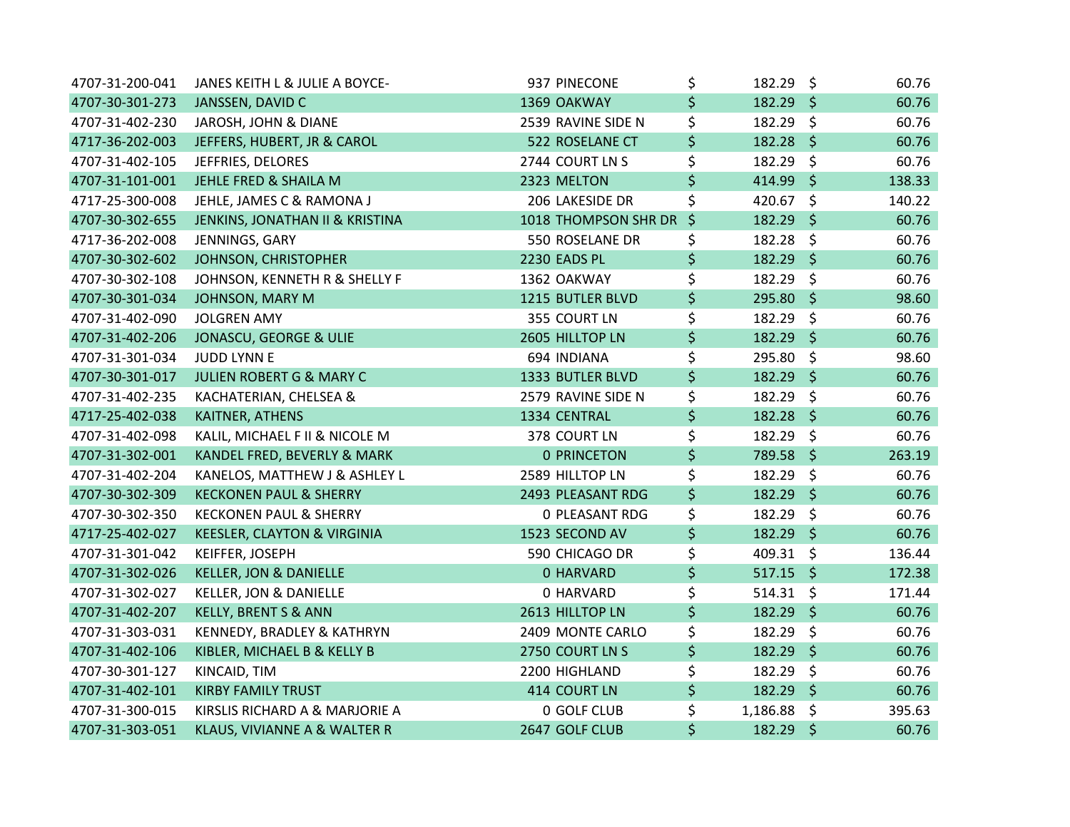| 4707-31-200-041 | JANES KEITH L & JULIE A BOYCE-         | 937 PINECONE          | \$      | 182.29 \$        |         | 60.76  |
|-----------------|----------------------------------------|-----------------------|---------|------------------|---------|--------|
| 4707-30-301-273 | JANSSEN, DAVID C                       | 1369 OAKWAY           | \$      | 182.29 \$        |         | 60.76  |
| 4707-31-402-230 | JAROSH, JOHN & DIANE                   | 2539 RAVINE SIDE N    | \$      | 182.29 \$        |         | 60.76  |
| 4717-36-202-003 | JEFFERS, HUBERT, JR & CAROL            | 522 ROSELANE CT       | \$      | $182.28$ \$      |         | 60.76  |
| 4707-31-402-105 | JEFFRIES, DELORES                      | 2744 COURT LN S       | \$      | 182.29 \$        |         | 60.76  |
| 4707-31-101-001 | JEHLE FRED & SHAILA M                  | 2323 MELTON           | \$      | 414.99 \$        |         | 138.33 |
| 4717-25-300-008 | JEHLE, JAMES C & RAMONA J              | 206 LAKESIDE DR       | \$      | 420.67           | $\zeta$ | 140.22 |
| 4707-30-302-655 | JENKINS, JONATHAN II & KRISTINA        | 1018 THOMPSON SHR DR  | $\zeta$ | 182.29 \$        |         | 60.76  |
| 4717-36-202-008 | JENNINGS, GARY                         | 550 ROSELANE DR       | \$      | 182.28 \$        |         | 60.76  |
| 4707-30-302-602 | JOHNSON, CHRISTOPHER                   | 2230 EADS PL          | \$      | 182.29 \$        |         | 60.76  |
| 4707-30-302-108 | JOHNSON, KENNETH R & SHELLY F          | 1362 OAKWAY           | \$      | 182.29 \$        |         | 60.76  |
| 4707-30-301-034 | JOHNSON, MARY M                        | 1215 BUTLER BLVD      | \$      | 295.80 \$        |         | 98.60  |
| 4707-31-402-090 | <b>JOLGREN AMY</b>                     | 355 COURT LN          | \$      | 182.29 \$        |         | 60.76  |
| 4707-31-402-206 | JONASCU, GEORGE & ULIE                 | 2605 HILLTOP LN       | \$      | 182.29 \$        |         | 60.76  |
| 4707-31-301-034 | JUDD LYNN E                            | 694 INDIANA           | \$      | 295.80 \$        |         | 98.60  |
| 4707-30-301-017 | JULIEN ROBERT G & MARY C               | 1333 BUTLER BLVD      | \$      | 182.29 \$        |         | 60.76  |
| 4707-31-402-235 | KACHATERIAN, CHELSEA &                 | 2579 RAVINE SIDE N    | \$      | 182.29 \$        |         | 60.76  |
| 4717-25-402-038 | KAITNER, ATHENS                        | 1334 CENTRAL          | \$      | 182.28 \$        |         | 60.76  |
| 4707-31-402-098 | KALIL, MICHAEL F II & NICOLE M         | 378 COURT LN          | \$      | 182.29 \$        |         | 60.76  |
| 4707-31-302-001 | KANDEL FRED, BEVERLY & MARK            | <b>0 PRINCETON</b>    | \$      | 789.58 \$        |         | 263.19 |
| 4707-31-402-204 | KANELOS, MATTHEW J & ASHLEY L          | 2589 HILLTOP LN       | \$      | 182.29 \$        |         | 60.76  |
| 4707-30-302-309 | <b>KECKONEN PAUL &amp; SHERRY</b>      | 2493 PLEASANT RDG     | \$      | $182.29$ \$      |         | 60.76  |
| 4707-30-302-350 | <b>KECKONEN PAUL &amp; SHERRY</b>      | <b>0 PLEASANT RDG</b> | \$      | 182.29 \$        |         | 60.76  |
| 4717-25-402-027 | <b>KEESLER, CLAYTON &amp; VIRGINIA</b> | 1523 SECOND AV        | \$      | 182.29 \$        |         | 60.76  |
| 4707-31-301-042 | KEIFFER, JOSEPH                        | 590 CHICAGO DR        | \$      | 409.31 \$        |         | 136.44 |
| 4707-31-302-026 | <b>KELLER, JON &amp; DANIELLE</b>      | 0 HARVARD             | \$      | $517.15$ \$      |         | 172.38 |
| 4707-31-302-027 | KELLER, JON & DANIELLE                 | 0 HARVARD             | \$      | $514.31 \quad $$ |         | 171.44 |
| 4707-31-402-207 | <b>KELLY, BRENT S &amp; ANN</b>        | 2613 HILLTOP LN       | \$      | 182.29 \$        |         | 60.76  |
| 4707-31-303-031 | KENNEDY, BRADLEY & KATHRYN             | 2409 MONTE CARLO      | \$      | 182.29 \$        |         | 60.76  |
| 4707-31-402-106 | KIBLER, MICHAEL B & KELLY B            | 2750 COURT LN S       | \$      | 182.29 \$        |         | 60.76  |
| 4707-30-301-127 | KINCAID, TIM                           | 2200 HIGHLAND         | \$      | 182.29 \$        |         | 60.76  |
| 4707-31-402-101 | <b>KIRBY FAMILY TRUST</b>              | 414 COURT LN          | \$      | 182.29 \$        |         | 60.76  |
| 4707-31-300-015 | KIRSLIS RICHARD A & MARJORIE A         | 0 GOLF CLUB           | \$      | 1,186.88 \$      |         | 395.63 |
| 4707-31-303-051 | KLAUS, VIVIANNE A & WALTER R           | 2647 GOLF CLUB        | \$      | 182.29 \$        |         | 60.76  |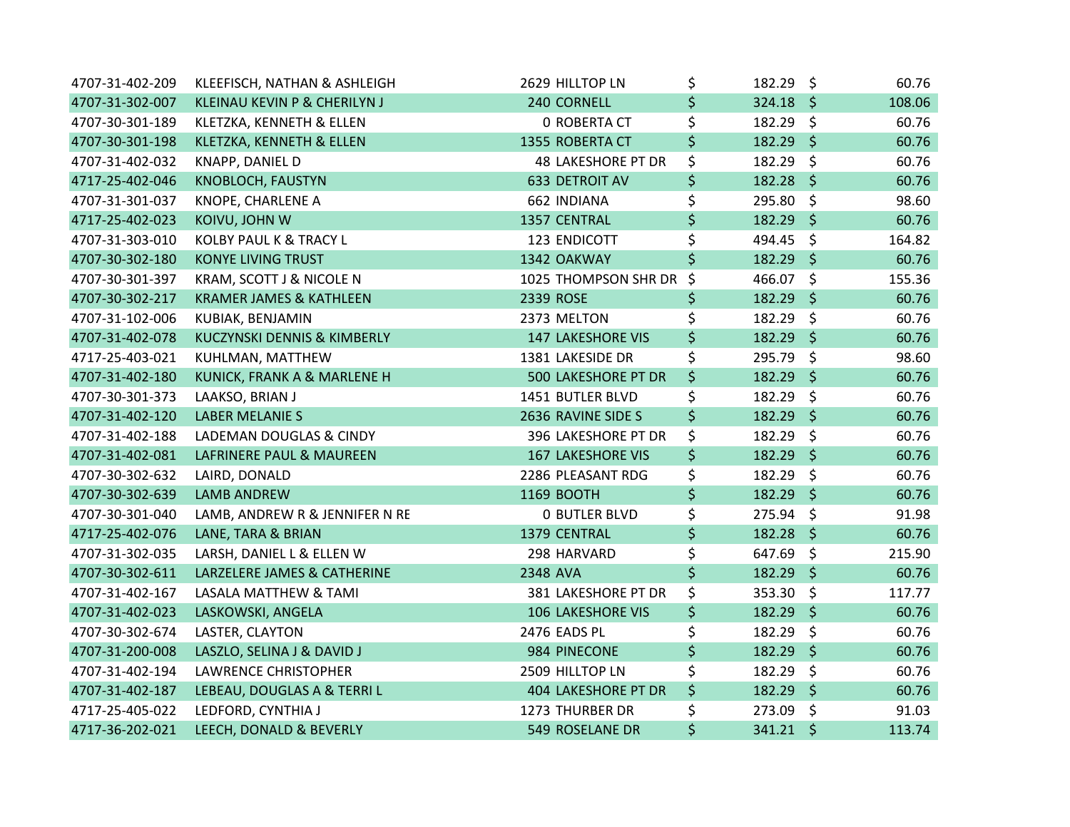| 4707-31-402-209 | KLEEFISCH, NATHAN & ASHLEIGH       | 2629 HILLTOP LN           | \$<br>182.29 \$   | 60.76  |
|-----------------|------------------------------------|---------------------------|-------------------|--------|
| 4707-31-302-007 | KLEINAU KEVIN P & CHERILYN J       | 240 CORNELL               | \$<br>$324.18$ \$ | 108.06 |
| 4707-30-301-189 | KLETZKA, KENNETH & ELLEN           | <b>0 ROBERTA CT</b>       | \$<br>182.29 \$   | 60.76  |
| 4707-30-301-198 | KLETZKA, KENNETH & ELLEN           | 1355 ROBERTA CT           | \$<br>$182.29$ \$ | 60.76  |
| 4707-31-402-032 | KNAPP, DANIEL D                    | <b>48 LAKESHORE PT DR</b> | \$<br>182.29 \$   | 60.76  |
| 4717-25-402-046 | KNOBLOCH, FAUSTYN                  | 633 DETROIT AV            | \$<br>$182.28$ \$ | 60.76  |
| 4707-31-301-037 | KNOPE, CHARLENE A                  | 662 INDIANA               | \$<br>295.80 \$   | 98.60  |
| 4717-25-402-023 | KOIVU, JOHN W                      | 1357 CENTRAL              | \$<br>182.29 \$   | 60.76  |
| 4707-31-303-010 | KOLBY PAUL K & TRACY L             | 123 ENDICOTT              | \$<br>494.45 \$   | 164.82 |
| 4707-30-302-180 | <b>KONYE LIVING TRUST</b>          | 1342 OAKWAY               | \$<br>182.29 \$   | 60.76  |
| 4707-30-301-397 | KRAM, SCOTT J & NICOLE N           | 1025 THOMPSON SHR DR \$   | 466.07 \$         | 155.36 |
| 4707-30-302-217 | <b>KRAMER JAMES &amp; KATHLEEN</b> | 2339 ROSE                 | \$<br>182.29 \$   | 60.76  |
| 4707-31-102-006 | KUBIAK, BENJAMIN                   | 2373 MELTON               | \$<br>182.29 \$   | 60.76  |
| 4707-31-402-078 | KUCZYNSKI DENNIS & KIMBERLY        | <b>147 LAKESHORE VIS</b>  | \$<br>182.29 \$   | 60.76  |
| 4717-25-403-021 | KUHLMAN, MATTHEW                   | 1381 LAKESIDE DR          | \$<br>295.79 \$   | 98.60  |
| 4707-31-402-180 | KUNICK, FRANK A & MARLENE H        | 500 LAKESHORE PT DR       | \$<br>182.29 \$   | 60.76  |
| 4707-30-301-373 | LAAKSO, BRIAN J                    | 1451 BUTLER BLVD          | \$<br>182.29 \$   | 60.76  |
| 4707-31-402-120 | <b>LABER MELANIE S</b>             | 2636 RAVINE SIDE S        | \$<br>182.29 \$   | 60.76  |
| 4707-31-402-188 | LADEMAN DOUGLAS & CINDY            | 396 LAKESHORE PT DR       | \$<br>182.29 \$   | 60.76  |
| 4707-31-402-081 | LAFRINERE PAUL & MAUREEN           | <b>167 LAKESHORE VIS</b>  | \$<br>182.29 \$   | 60.76  |
| 4707-30-302-632 | LAIRD, DONALD                      | 2286 PLEASANT RDG         | \$<br>182.29 \$   | 60.76  |
| 4707-30-302-639 | <b>LAMB ANDREW</b>                 | 1169 BOOTH                | \$<br>$182.29$ \$ | 60.76  |
| 4707-30-301-040 | LAMB, ANDREW R & JENNIFER N RE     | <b>0 BUTLER BLVD</b>      | \$<br>275.94 \$   | 91.98  |
| 4717-25-402-076 | LANE, TARA & BRIAN                 | 1379 CENTRAL              | \$<br>182.28 \$   | 60.76  |
| 4707-31-302-035 | LARSH, DANIEL L & ELLEN W          | 298 HARVARD               | \$<br>647.69 \$   | 215.90 |
| 4707-30-302-611 | LARZELERE JAMES & CATHERINE        | 2348 AVA                  | \$<br>182.29 \$   | 60.76  |
| 4707-31-402-167 | LASALA MATTHEW & TAMI              | 381 LAKESHORE PT DR       | \$<br>353.30 \$   | 117.77 |
| 4707-31-402-023 | LASKOWSKI, ANGELA                  | <b>106 LAKESHORE VIS</b>  | \$<br>182.29 \$   | 60.76  |
| 4707-30-302-674 | LASTER, CLAYTON                    | 2476 EADS PL              | \$<br>182.29 \$   | 60.76  |
| 4707-31-200-008 | LASZLO, SELINA J & DAVID J         | 984 PINECONE              | \$<br>182.29 \$   | 60.76  |
| 4707-31-402-194 | <b>LAWRENCE CHRISTOPHER</b>        | 2509 HILLTOP LN           | \$<br>182.29 \$   | 60.76  |
| 4707-31-402-187 | LEBEAU, DOUGLAS A & TERRI L        | 404 LAKESHORE PT DR       | \$<br>182.29 \$   | 60.76  |
| 4717-25-405-022 | LEDFORD, CYNTHIA J                 | 1273 THURBER DR           | \$<br>273.09 \$   | 91.03  |
| 4717-36-202-021 | LEECH, DONALD & BEVERLY            | 549 ROSELANE DR           | \$<br>341.21 \$   | 113.74 |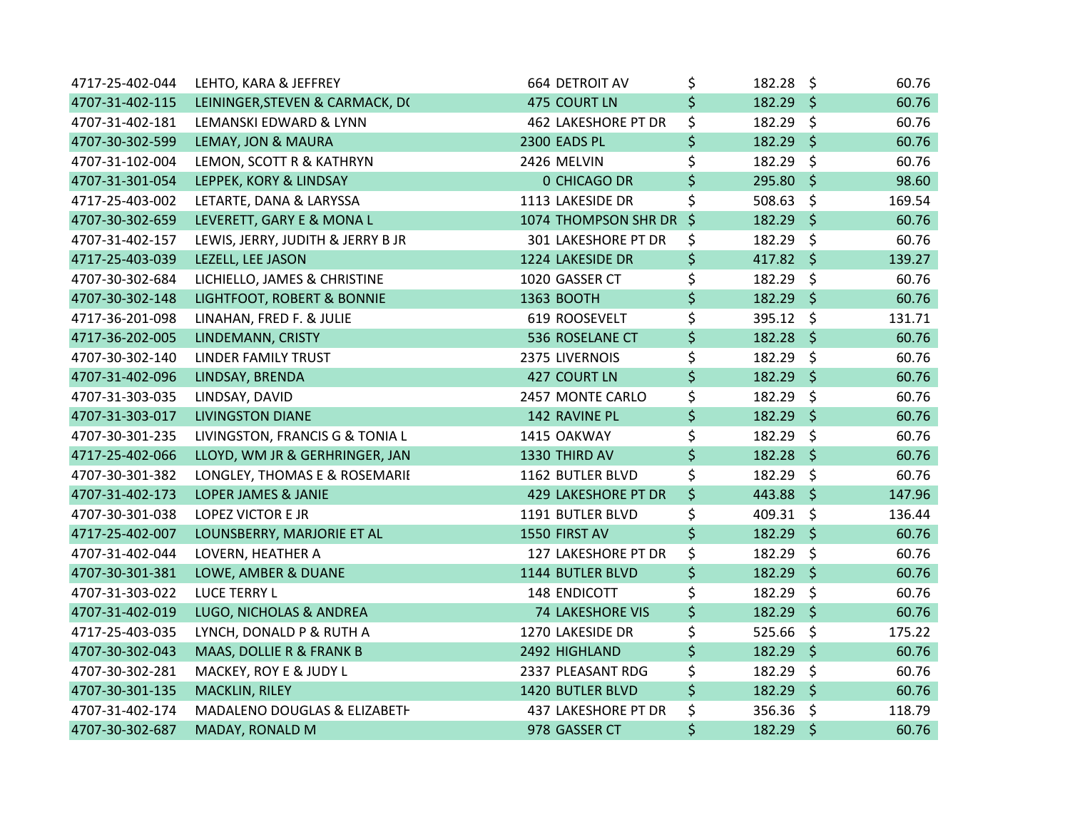| 4717-25-402-044 | LEHTO, KARA & JEFFREY             | 664 DETROIT AV             | \$      | $182.28 \text{ }$ |         | 60.76  |
|-----------------|-----------------------------------|----------------------------|---------|-------------------|---------|--------|
| 4707-31-402-115 | LEININGER, STEVEN & CARMACK, DO   | 475 COURT LN               | \$      | $182.29$ \$       |         | 60.76  |
| 4707-31-402-181 | LEMANSKI EDWARD & LYNN            | <b>462 LAKESHORE PT DR</b> | \$      | 182.29 \$         |         | 60.76  |
| 4707-30-302-599 | LEMAY, JON & MAURA                | 2300 EADS PL               | \$      | 182.29 \$         |         | 60.76  |
| 4707-31-102-004 | LEMON, SCOTT R & KATHRYN          | 2426 MELVIN                | \$      | 182.29 \$         |         | 60.76  |
| 4707-31-301-054 | LEPPEK, KORY & LINDSAY            | <b>0 CHICAGO DR</b>        | \$      | 295.80 \$         |         | 98.60  |
| 4717-25-403-002 | LETARTE, DANA & LARYSSA           | 1113 LAKESIDE DR           | \$      | 508.63 \$         |         | 169.54 |
| 4707-30-302-659 | LEVERETT, GARY E & MONA L         | 1074 THOMPSON SHR DR       | $\zeta$ | 182.29 \$         |         | 60.76  |
| 4707-31-402-157 | LEWIS, JERRY, JUDITH & JERRY B JR | 301 LAKESHORE PT DR        | \$      | 182.29            | $\zeta$ | 60.76  |
| 4717-25-403-039 | LEZELL, LEE JASON                 | 1224 LAKESIDE DR           | \$      | 417.82 \$         |         | 139.27 |
| 4707-30-302-684 | LICHIELLO, JAMES & CHRISTINE      | 1020 GASSER CT             | \$      | 182.29 \$         |         | 60.76  |
| 4707-30-302-148 | LIGHTFOOT, ROBERT & BONNIE        | 1363 BOOTH                 | \$      | 182.29 \$         |         | 60.76  |
| 4717-36-201-098 | LINAHAN, FRED F. & JULIE          | 619 ROOSEVELT              | \$      | 395.12 \$         |         | 131.71 |
| 4717-36-202-005 | LINDEMANN, CRISTY                 | 536 ROSELANE CT            | \$      | 182.28 \$         |         | 60.76  |
| 4707-30-302-140 | LINDER FAMILY TRUST               | 2375 LIVERNOIS             | \$      | 182.29 \$         |         | 60.76  |
| 4707-31-402-096 | LINDSAY, BRENDA                   | 427 COURT LN               | \$      | $182.29$ \$       |         | 60.76  |
| 4707-31-303-035 | LINDSAY, DAVID                    | 2457 MONTE CARLO           | \$      | 182.29 \$         |         | 60.76  |
| 4707-31-303-017 | <b>LIVINGSTON DIANE</b>           | 142 RAVINE PL              | \$      | 182.29 \$         |         | 60.76  |
| 4707-30-301-235 | LIVINGSTON, FRANCIS G & TONIA L   | 1415 OAKWAY                | \$      | 182.29 \$         |         | 60.76  |
| 4717-25-402-066 | LLOYD, WM JR & GERHRINGER, JAN    | 1330 THIRD AV              | \$      | $182.28$ \$       |         | 60.76  |
| 4707-30-301-382 | LONGLEY, THOMAS E & ROSEMARIE     | 1162 BUTLER BLVD           | \$      | 182.29 \$         |         | 60.76  |
| 4707-31-402-173 | <b>LOPER JAMES &amp; JANIE</b>    | 429 LAKESHORE PT DR        | \$      | 443.88 \$         |         | 147.96 |
| 4707-30-301-038 | LOPEZ VICTOR E JR                 | 1191 BUTLER BLVD           | \$      | 409.31 \$         |         | 136.44 |
| 4717-25-402-007 | LOUNSBERRY, MARJORIE ET AL        | 1550 FIRST AV              | \$      | 182.29 \$         |         | 60.76  |
| 4707-31-402-044 | LOVERN, HEATHER A                 | 127 LAKESHORE PT DR        | \$      | 182.29 \$         |         | 60.76  |
| 4707-30-301-381 | LOWE, AMBER & DUANE               | 1144 BUTLER BLVD           | \$      | 182.29 \$         |         | 60.76  |
| 4707-31-303-022 | <b>LUCE TERRY L</b>               | 148 ENDICOTT               | \$      | 182.29 \$         |         | 60.76  |
| 4707-31-402-019 | LUGO, NICHOLAS & ANDREA           | <b>74 LAKESHORE VIS</b>    | \$      | 182.29 \$         |         | 60.76  |
| 4717-25-403-035 | LYNCH, DONALD P & RUTH A          | 1270 LAKESIDE DR           | \$      | 525.66 \$         |         | 175.22 |
| 4707-30-302-043 | MAAS, DOLLIE R & FRANK B          | 2492 HIGHLAND              | \$      | $182.29$ \$       |         | 60.76  |
| 4707-30-302-281 | MACKEY, ROY E & JUDY L            | 2337 PLEASANT RDG          | \$      | 182.29 \$         |         | 60.76  |
| 4707-30-301-135 | MACKLIN, RILEY                    | 1420 BUTLER BLVD           | \$      | 182.29 \$         |         | 60.76  |
| 4707-31-402-174 | MADALENO DOUGLAS & ELIZABETH      | 437 LAKESHORE PT DR        | \$      | 356.36 \$         |         | 118.79 |
| 4707-30-302-687 | MADAY, RONALD M                   | 978 GASSER CT              | \$      | 182.29 \$         |         | 60.76  |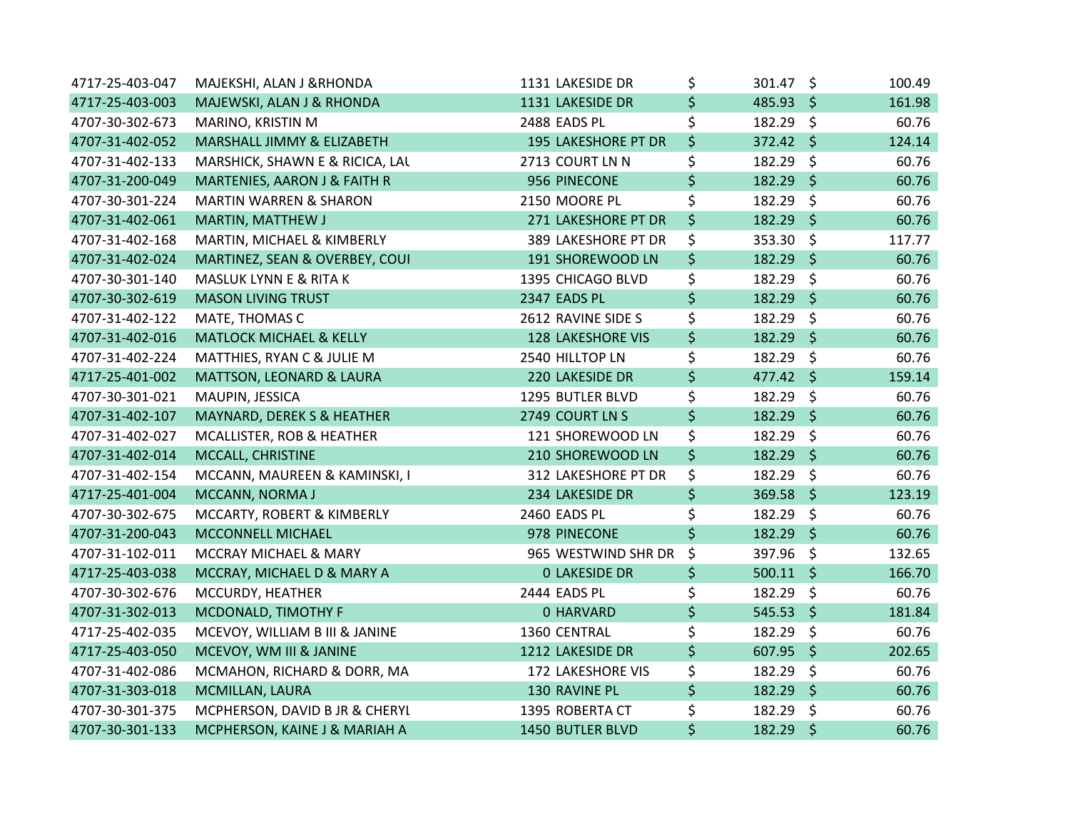| 4717-25-403-047 | MAJEKSHI, ALAN J &RHONDA            | 1131 LAKESIDE DR         | \$<br>301.47 \$   | 100.49 |
|-----------------|-------------------------------------|--------------------------|-------------------|--------|
| 4717-25-403-003 | MAJEWSKI, ALAN J & RHONDA           | 1131 LAKESIDE DR         | \$<br>485.93 \$   | 161.98 |
| 4707-30-302-673 | MARINO, KRISTIN M                   | 2488 EADS PL             | \$<br>182.29 \$   | 60.76  |
| 4707-31-402-052 | MARSHALL JIMMY & ELIZABETH          | 195 LAKESHORE PT DR      | \$<br>372.42 \$   | 124.14 |
| 4707-31-402-133 | MARSHICK, SHAWN E & RICICA, LAL     | 2713 COURT LN N          | \$<br>182.29 \$   | 60.76  |
| 4707-31-200-049 | MARTENIES, AARON J & FAITH R        | 956 PINECONE             | \$<br>182.29 \$   | 60.76  |
| 4707-30-301-224 | <b>MARTIN WARREN &amp; SHARON</b>   | 2150 MOORE PL            | \$<br>182.29 \$   | 60.76  |
| 4707-31-402-061 | MARTIN, MATTHEW J                   | 271 LAKESHORE PT DR      | \$<br>182.29 \$   | 60.76  |
| 4707-31-402-168 | MARTIN, MICHAEL & KIMBERLY          | 389 LAKESHORE PT DR      | \$<br>353.30 \$   | 117.77 |
| 4707-31-402-024 | MARTINEZ, SEAN & OVERBEY, COUI      | 191 SHOREWOOD LN         | \$<br>182.29 \$   | 60.76  |
| 4707-30-301-140 | MASLUK LYNN E & RITA K              | 1395 CHICAGO BLVD        | \$<br>182.29 \$   | 60.76  |
| 4707-30-302-619 | <b>MASON LIVING TRUST</b>           | 2347 EADS PL             | \$<br>$182.29$ \$ | 60.76  |
| 4707-31-402-122 | MATE, THOMAS C                      | 2612 RAVINE SIDE S       | \$<br>182.29 \$   | 60.76  |
| 4707-31-402-016 | <b>MATLOCK MICHAEL &amp; KELLY</b>  | <b>128 LAKESHORE VIS</b> | \$<br>182.29 \$   | 60.76  |
| 4707-31-402-224 | MATTHIES, RYAN C & JULIE M          | 2540 HILLTOP LN          | \$<br>182.29 \$   | 60.76  |
| 4717-25-401-002 | <b>MATTSON, LEONARD &amp; LAURA</b> | 220 LAKESIDE DR          | \$<br>477.42 \$   | 159.14 |
| 4707-30-301-021 | MAUPIN, JESSICA                     | 1295 BUTLER BLVD         | \$<br>182.29 \$   | 60.76  |
| 4707-31-402-107 | MAYNARD, DEREK S & HEATHER          | 2749 COURT LN S          | \$<br>182.29 \$   | 60.76  |
| 4707-31-402-027 | MCALLISTER, ROB & HEATHER           | 121 SHOREWOOD LN         | \$<br>182.29 \$   | 60.76  |
| 4707-31-402-014 | MCCALL, CHRISTINE                   | 210 SHOREWOOD LN         | \$<br>182.29 \$   | 60.76  |
| 4707-31-402-154 | MCCANN, MAUREEN & KAMINSKI, I       | 312 LAKESHORE PT DR      | \$<br>182.29 \$   | 60.76  |
| 4717-25-401-004 | MCCANN, NORMA J                     | 234 LAKESIDE DR          | \$<br>369.58 \$   | 123.19 |
| 4707-30-302-675 | MCCARTY, ROBERT & KIMBERLY          | 2460 EADS PL             | \$<br>182.29 \$   | 60.76  |
| 4707-31-200-043 | MCCONNELL MICHAEL                   | 978 PINECONE             | \$<br>182.29 \$   | 60.76  |
| 4707-31-102-011 | MCCRAY MICHAEL & MARY               | 965 WESTWIND SHR DR      | \$<br>397.96 \$   | 132.65 |
| 4717-25-403-038 | MCCRAY, MICHAEL D & MARY A          | <b>0 LAKESIDE DR</b>     | \$<br>$500.11$ \$ | 166.70 |
| 4707-30-302-676 | MCCURDY, HEATHER                    | 2444 EADS PL             | \$<br>$182.29$ \$ | 60.76  |
| 4707-31-302-013 | MCDONALD, TIMOTHY F                 | 0 HARVARD                | \$<br>$545.53$ \$ | 181.84 |
| 4717-25-402-035 | MCEVOY, WILLIAM B III & JANINE      | 1360 CENTRAL             | \$<br>182.29 \$   | 60.76  |
| 4717-25-403-050 | MCEVOY, WM III & JANINE             | 1212 LAKESIDE DR         | \$<br>$607.95$ \$ | 202.65 |
| 4707-31-402-086 | MCMAHON, RICHARD & DORR, MA         | 172 LAKESHORE VIS        | \$<br>182.29 \$   | 60.76  |
| 4707-31-303-018 | MCMILLAN, LAURA                     | 130 RAVINE PL            | \$<br>182.29 \$   | 60.76  |
| 4707-30-301-375 | MCPHERSON, DAVID B JR & CHERYL      | 1395 ROBERTA CT          | \$<br>182.29 \$   | 60.76  |
| 4707-30-301-133 | MCPHERSON, KAINE J & MARIAH A       | 1450 BUTLER BLVD         | \$<br>182.29 \$   | 60.76  |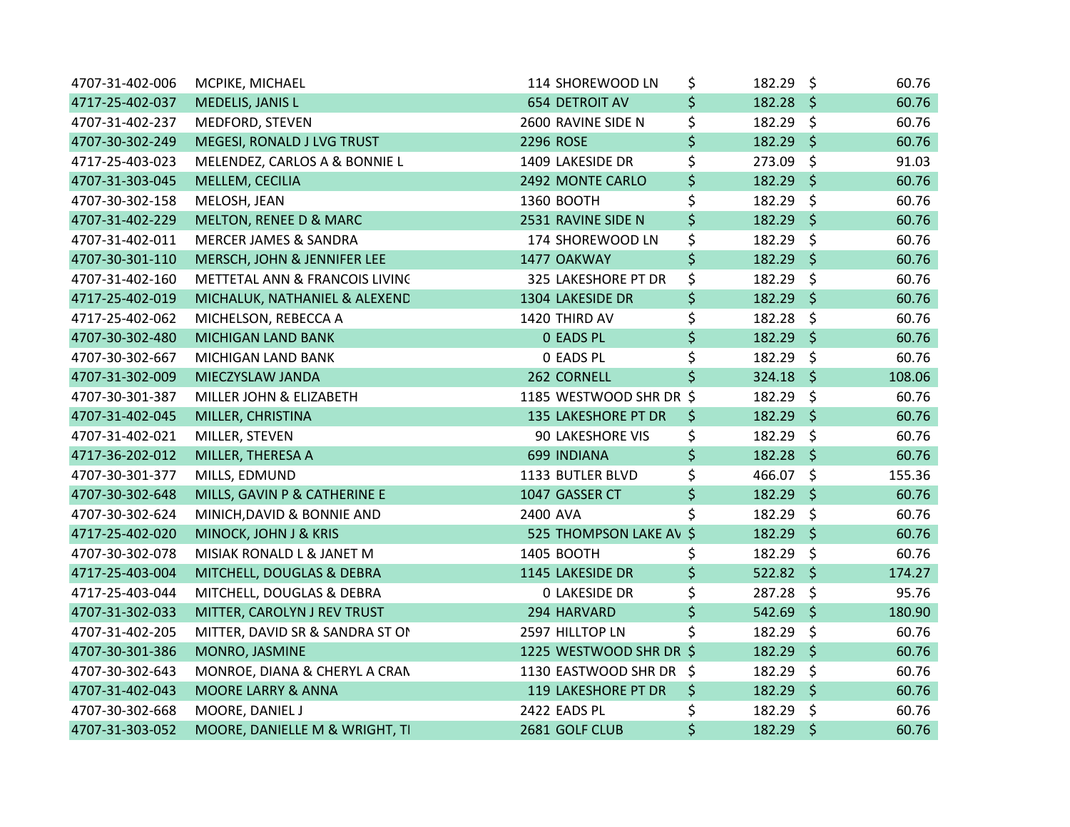| 4707-31-402-006 | MCPIKE, MICHAEL                 | 114 SHOREWOOD LN        | \$      | $182.29$ \$ |         | 60.76  |
|-----------------|---------------------------------|-------------------------|---------|-------------|---------|--------|
| 4717-25-402-037 | MEDELIS, JANIS L                | <b>654 DETROIT AV</b>   | \$      | $182.28$ \$ |         | 60.76  |
| 4707-31-402-237 | MEDFORD, STEVEN                 | 2600 RAVINE SIDE N      | \$      | 182.29 \$   |         | 60.76  |
| 4707-30-302-249 | MEGESI, RONALD J LVG TRUST      | 2296 ROSE               | \$      | 182.29 \$   |         | 60.76  |
| 4717-25-403-023 | MELENDEZ, CARLOS A & BONNIE L   | 1409 LAKESIDE DR        | \$      | 273.09 \$   |         | 91.03  |
| 4707-31-303-045 | MELLEM, CECILIA                 | 2492 MONTE CARLO        | \$      | 182.29 \$   |         | 60.76  |
| 4707-30-302-158 | MELOSH, JEAN                    | 1360 BOOTH              | \$      | 182.29 \$   |         | 60.76  |
| 4707-31-402-229 | MELTON, RENEE D & MARC          | 2531 RAVINE SIDE N      | $\zeta$ | 182.29 \$   |         | 60.76  |
| 4707-31-402-011 | MERCER JAMES & SANDRA           | 174 SHOREWOOD LN        | \$      | 182.29      | $\zeta$ | 60.76  |
| 4707-30-301-110 | MERSCH, JOHN & JENNIFER LEE     | 1477 OAKWAY             | \$      | $182.29$ \$ |         | 60.76  |
| 4707-31-402-160 | METTETAL ANN & FRANCOIS LIVING  | 325 LAKESHORE PT DR     | \$      | 182.29 \$   |         | 60.76  |
| 4717-25-402-019 | MICHALUK, NATHANIEL & ALEXEND   | 1304 LAKESIDE DR        | \$      | $182.29$ \$ |         | 60.76  |
| 4717-25-402-062 | MICHELSON, REBECCA A            | 1420 THIRD AV           | \$      | 182.28 \$   |         | 60.76  |
| 4707-30-302-480 | <b>MICHIGAN LAND BANK</b>       | <b>0 EADS PL</b>        | \$      | 182.29 \$   |         | 60.76  |
| 4707-30-302-667 | MICHIGAN LAND BANK              | <b>0 EADS PL</b>        | \$      | 182.29 \$   |         | 60.76  |
| 4707-31-302-009 | MIECZYSLAW JANDA                | 262 CORNELL             | \$      | $324.18$ \$ |         | 108.06 |
| 4707-30-301-387 | MILLER JOHN & ELIZABETH         | 1185 WESTWOOD SHR DR \$ |         | 182.29 \$   |         | 60.76  |
| 4707-31-402-045 | MILLER, CHRISTINA               | 135 LAKESHORE PT DR     | \$      | 182.29 \$   |         | 60.76  |
| 4707-31-402-021 | MILLER, STEVEN                  | 90 LAKESHORE VIS        | \$      | 182.29 \$   |         | 60.76  |
| 4717-36-202-012 | MILLER, THERESA A               | 699 INDIANA             | \$      | $182.28$ \$ |         | 60.76  |
| 4707-30-301-377 | MILLS, EDMUND                   | 1133 BUTLER BLVD        | \$      | 466.07 \$   |         | 155.36 |
| 4707-30-302-648 | MILLS, GAVIN P & CATHERINE E    | 1047 GASSER CT          | \$      | 182.29 \$   |         | 60.76  |
| 4707-30-302-624 | MINICH, DAVID & BONNIE AND      | 2400 AVA                | \$      | 182.29 \$   |         | 60.76  |
| 4717-25-402-020 | MINOCK, JOHN J & KRIS           | 525 THOMPSON LAKE AV \$ |         | 182.29 \$   |         | 60.76  |
| 4707-30-302-078 | MISIAK RONALD L & JANET M       | 1405 BOOTH              | \$      | 182.29 \$   |         | 60.76  |
| 4717-25-403-004 | MITCHELL, DOUGLAS & DEBRA       | 1145 LAKESIDE DR        | \$      | $522.82$ \$ |         | 174.27 |
| 4717-25-403-044 | MITCHELL, DOUGLAS & DEBRA       | <b>0 LAKESIDE DR</b>    | \$      | 287.28 \$   |         | 95.76  |
| 4707-31-302-033 | MITTER, CAROLYN J REV TRUST     | 294 HARVARD             | \$      | 542.69 \$   |         | 180.90 |
| 4707-31-402-205 | MITTER, DAVID SR & SANDRA ST ON | 2597 HILLTOP LN         | \$      | 182.29 \$   |         | 60.76  |
| 4707-30-301-386 | MONRO, JASMINE                  | 1225 WESTWOOD SHR DR \$ |         | $182.29$ \$ |         | 60.76  |
| 4707-30-302-643 | MONROE, DIANA & CHERYL A CRAN   | 1130 EASTWOOD SHR DR \$ |         | 182.29 \$   |         | 60.76  |
| 4707-31-402-043 | <b>MOORE LARRY &amp; ANNA</b>   | 119 LAKESHORE PT DR     | \$      | $182.29$ \$ |         | 60.76  |
| 4707-30-302-668 | MOORE, DANIEL J                 | 2422 EADS PL            | \$      | 182.29 \$   |         | 60.76  |
| 4707-31-303-052 | MOORE, DANIELLE M & WRIGHT, TI  | 2681 GOLF CLUB          | \$      | 182.29 \$   |         | 60.76  |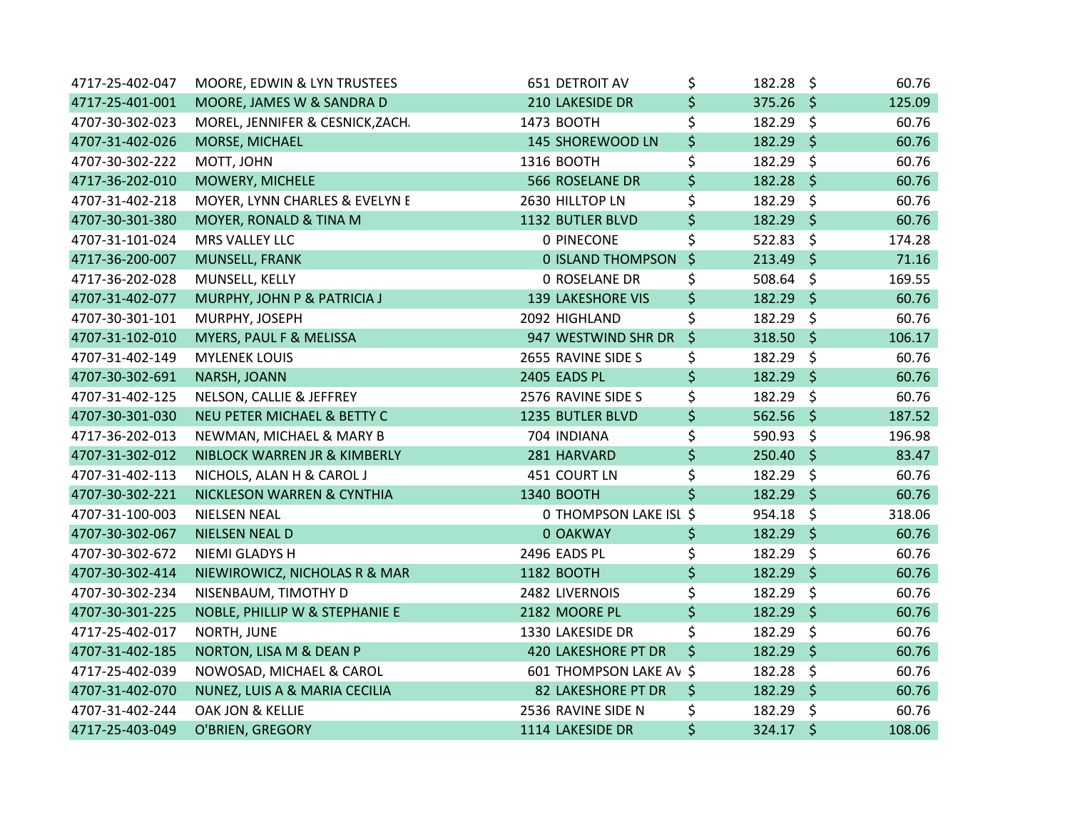| 4717-25-402-047 | MOORE, EDWIN & LYN TRUSTEES      | 651 DETROIT AV           | \$      | $182.28 \text{ }$ | 60.76  |
|-----------------|----------------------------------|--------------------------|---------|-------------------|--------|
| 4717-25-401-001 | MOORE, JAMES W & SANDRA D        | 210 LAKESIDE DR          | \$      | $375.26$ \$       | 125.09 |
| 4707-30-302-023 | MOREL, JENNIFER & CESNICK, ZACH. | 1473 BOOTH               | \$      | 182.29 \$         | 60.76  |
| 4707-31-402-026 | MORSE, MICHAEL                   | 145 SHOREWOOD LN         | \$      | $182.29$ \$       | 60.76  |
| 4707-30-302-222 | MOTT, JOHN                       | 1316 BOOTH               | \$      | 182.29 \$         | 60.76  |
| 4717-36-202-010 | MOWERY, MICHELE                  | 566 ROSELANE DR          | \$      | $182.28$ \$       | 60.76  |
| 4707-31-402-218 | MOYER, LYNN CHARLES & EVELYN E   | 2630 HILLTOP LN          | \$      | 182.29 \$         | 60.76  |
| 4707-30-301-380 | MOYER, RONALD & TINA M           | 1132 BUTLER BLVD         | \$      | 182.29 \$         | 60.76  |
| 4707-31-101-024 | MRS VALLEY LLC                   | 0 PINECONE               | \$      | $522.83$ \$       | 174.28 |
| 4717-36-200-007 | MUNSELL, FRANK                   | 0 ISLAND THOMPSON        | $\zeta$ | 213.49 \$         | 71.16  |
| 4717-36-202-028 | MUNSELL, KELLY                   | <b>0 ROSELANE DR</b>     | \$      | 508.64 \$         | 169.55 |
| 4707-31-402-077 | MURPHY, JOHN P & PATRICIA J      | <b>139 LAKESHORE VIS</b> | \$      | $182.29$ \$       | 60.76  |
| 4707-30-301-101 | MURPHY, JOSEPH                   | 2092 HIGHLAND            | \$      | $182.29$ \$       | 60.76  |
| 4707-31-102-010 | MYERS, PAUL F & MELISSA          | 947 WESTWIND SHR DR      | \$      | 318.50 \$         | 106.17 |
| 4707-31-402-149 | <b>MYLENEK LOUIS</b>             | 2655 RAVINE SIDE S       | \$      | 182.29 \$         | 60.76  |
| 4707-30-302-691 | NARSH, JOANN                     | 2405 EADS PL             | \$      | $182.29$ \$       | 60.76  |
| 4707-31-402-125 | NELSON, CALLIE & JEFFREY         | 2576 RAVINE SIDE S       | \$      | 182.29 \$         | 60.76  |
| 4707-30-301-030 | NEU PETER MICHAEL & BETTY C      | 1235 BUTLER BLVD         | \$      | $562.56$ \$       | 187.52 |
| 4717-36-202-013 | NEWMAN, MICHAEL & MARY B         | 704 INDIANA              | \$      | 590.93 \$         | 196.98 |
| 4707-31-302-012 | NIBLOCK WARREN JR & KIMBERLY     | 281 HARVARD              | \$      | 250.40 \$         | 83.47  |
| 4707-31-402-113 | NICHOLS, ALAN H & CAROL J        | 451 COURT LN             | \$      | 182.29 \$         | 60.76  |
| 4707-30-302-221 | NICKLESON WARREN & CYNTHIA       | 1340 BOOTH               | \$      | 182.29 \$         | 60.76  |
| 4707-31-100-003 | <b>NIELSEN NEAL</b>              | 0 THOMPSON LAKE ISL \$   |         | 954.18 \$         | 318.06 |
| 4707-30-302-067 | <b>NIELSEN NEAL D</b>            | 0 OAKWAY                 | \$      | $182.29$ \$       | 60.76  |
| 4707-30-302-672 | NIEMI GLADYS H                   | 2496 EADS PL             | \$      | 182.29 \$         | 60.76  |
| 4707-30-302-414 | NIEWIROWICZ, NICHOLAS R & MAR    | 1182 BOOTH               | \$      | 182.29 \$         | 60.76  |
| 4707-30-302-234 | NISENBAUM, TIMOTHY D             | 2482 LIVERNOIS           | \$      | 182.29 \$         | 60.76  |
| 4707-30-301-225 | NOBLE, PHILLIP W & STEPHANIE E   | 2182 MOORE PL            | \$      | 182.29 \$         | 60.76  |
| 4717-25-402-017 | NORTH, JUNE                      | 1330 LAKESIDE DR         | \$      | 182.29 \$         | 60.76  |
| 4707-31-402-185 | NORTON, LISA M & DEAN P          | 420 LAKESHORE PT DR      | \$      | $182.29$ \$       | 60.76  |
| 4717-25-402-039 | NOWOSAD, MICHAEL & CAROL         | 601 THOMPSON LAKE AV \$  |         | 182.28 \$         | 60.76  |
| 4707-31-402-070 | NUNEZ, LUIS A & MARIA CECILIA    | 82 LAKESHORE PT DR       | \$      | 182.29 \$         | 60.76  |
| 4707-31-402-244 | OAK JON & KELLIE                 | 2536 RAVINE SIDE N       | \$      | 182.29 \$         | 60.76  |
| 4717-25-403-049 | O'BRIEN, GREGORY                 | 1114 LAKESIDE DR         | \$      | 324.17 \$         | 108.06 |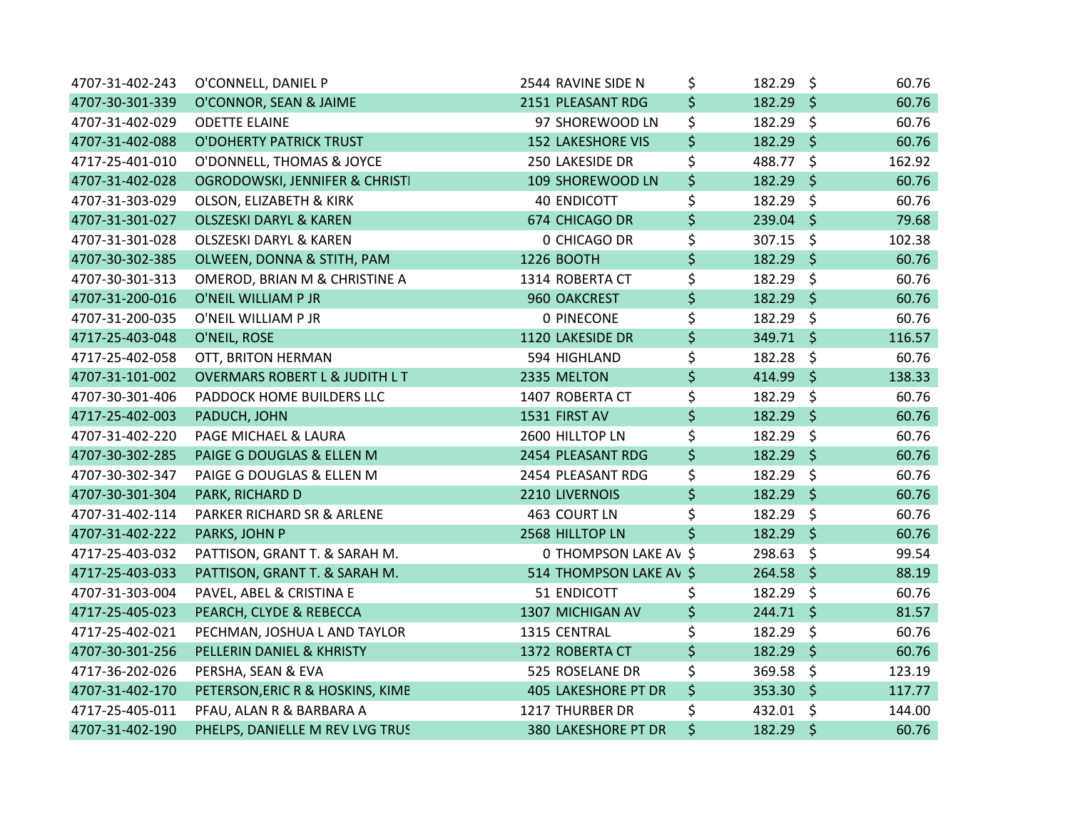| 4707-31-402-243 | O'CONNELL, DANIEL P                       | 2544 RAVINE SIDE N         | \$      | 182.29 \$   | 60.76  |
|-----------------|-------------------------------------------|----------------------------|---------|-------------|--------|
| 4707-30-301-339 | O'CONNOR, SEAN & JAIME                    | 2151 PLEASANT RDG          | \$      | $182.29$ \$ | 60.76  |
| 4707-31-402-029 | <b>ODETTE ELAINE</b>                      | 97 SHOREWOOD LN            | \$      | 182.29 \$   | 60.76  |
| 4707-31-402-088 | O'DOHERTY PATRICK TRUST                   | <b>152 LAKESHORE VIS</b>   | \$      | $182.29$ \$ | 60.76  |
| 4717-25-401-010 | O'DONNELL, THOMAS & JOYCE                 | 250 LAKESIDE DR            | \$      | 488.77 \$   | 162.92 |
| 4707-31-402-028 | OGRODOWSKI, JENNIFER & CHRISTI            | 109 SHOREWOOD LN           | \$      | $182.29$ \$ | 60.76  |
| 4707-31-303-029 | OLSON, ELIZABETH & KIRK                   | <b>40 ENDICOTT</b>         | \$      | 182.29 \$   | 60.76  |
| 4707-31-301-027 | <b>OLSZESKI DARYL &amp; KAREN</b>         | 674 CHICAGO DR             | \$      | 239.04 \$   | 79.68  |
| 4707-31-301-028 | <b>OLSZESKI DARYL &amp; KAREN</b>         | 0 CHICAGO DR               | \$      | 307.15 \$   | 102.38 |
| 4707-30-302-385 | OLWEEN, DONNA & STITH, PAM                | 1226 BOOTH                 | \$      | 182.29 \$   | 60.76  |
| 4707-30-301-313 | OMEROD, BRIAN M & CHRISTINE A             | 1314 ROBERTA CT            | \$      | 182.29 \$   | 60.76  |
| 4707-31-200-016 | O'NEIL WILLIAM P JR                       | 960 OAKCREST               | \$      | 182.29 \$   | 60.76  |
| 4707-31-200-035 | O'NEIL WILLIAM P JR                       | 0 PINECONE                 | \$      | 182.29 \$   | 60.76  |
| 4717-25-403-048 | O'NEIL, ROSE                              | 1120 LAKESIDE DR           | \$      | 349.71 \$   | 116.57 |
| 4717-25-402-058 | OTT, BRITON HERMAN                        | 594 HIGHLAND               | \$      | 182.28 \$   | 60.76  |
| 4707-31-101-002 | <b>OVERMARS ROBERT L &amp; JUDITH L T</b> | 2335 MELTON                | \$      | 414.99 \$   | 138.33 |
| 4707-30-301-406 | PADDOCK HOME BUILDERS LLC                 | 1407 ROBERTA CT            | \$      | 182.29 \$   | 60.76  |
| 4717-25-402-003 | PADUCH, JOHN                              | 1531 FIRST AV              | \$      | 182.29 \$   | 60.76  |
| 4707-31-402-220 | PAGE MICHAEL & LAURA                      | 2600 HILLTOP LN            | \$      | 182.29 \$   | 60.76  |
| 4707-30-302-285 | PAIGE G DOUGLAS & ELLEN M                 | 2454 PLEASANT RDG          | \$      | 182.29 \$   | 60.76  |
| 4707-30-302-347 | PAIGE G DOUGLAS & ELLEN M                 | 2454 PLEASANT RDG          | \$      | 182.29 \$   | 60.76  |
| 4707-30-301-304 | PARK, RICHARD D                           | 2210 LIVERNOIS             | \$      | $182.29$ \$ | 60.76  |
| 4707-31-402-114 | PARKER RICHARD SR & ARLENE                | 463 COURT LN               | \$      | 182.29 \$   | 60.76  |
| 4707-31-402-222 | PARKS, JOHN P                             | 2568 HILLTOP LN            | $\zeta$ | 182.29 \$   | 60.76  |
| 4717-25-403-032 | PATTISON, GRANT T. & SARAH M.             | 0 THOMPSON LAKE AV \$      |         | 298.63 \$   | 99.54  |
| 4717-25-403-033 | PATTISON, GRANT T. & SARAH M.             | 514 THOMPSON LAKE AV \$    |         | 264.58 \$   | 88.19  |
| 4707-31-303-004 | PAVEL, ABEL & CRISTINA E                  | 51 ENDICOTT                | \$      | 182.29 \$   | 60.76  |
| 4717-25-405-023 | PEARCH, CLYDE & REBECCA                   | 1307 MICHIGAN AV           | \$      | 244.71 \$   | 81.57  |
| 4717-25-402-021 | PECHMAN, JOSHUA L AND TAYLOR              | 1315 CENTRAL               | \$      | 182.29 \$   | 60.76  |
| 4707-30-301-256 | PELLERIN DANIEL & KHRISTY                 | 1372 ROBERTA CT            | \$      | 182.29 \$   | 60.76  |
| 4717-36-202-026 | PERSHA, SEAN & EVA                        | 525 ROSELANE DR            | \$      | 369.58 \$   | 123.19 |
| 4707-31-402-170 | PETERSON, ERIC R & HOSKINS, KIMB          | <b>405 LAKESHORE PT DR</b> | \$      | $353.30$ \$ | 117.77 |
| 4717-25-405-011 | PFAU, ALAN R & BARBARA A                  | 1217 THURBER DR            | \$      | 432.01 \$   | 144.00 |
| 4707-31-402-190 | PHELPS, DANIELLE M REV LVG TRUS           | <b>380 LAKESHORE PT DR</b> | \$      | 182.29 \$   | 60.76  |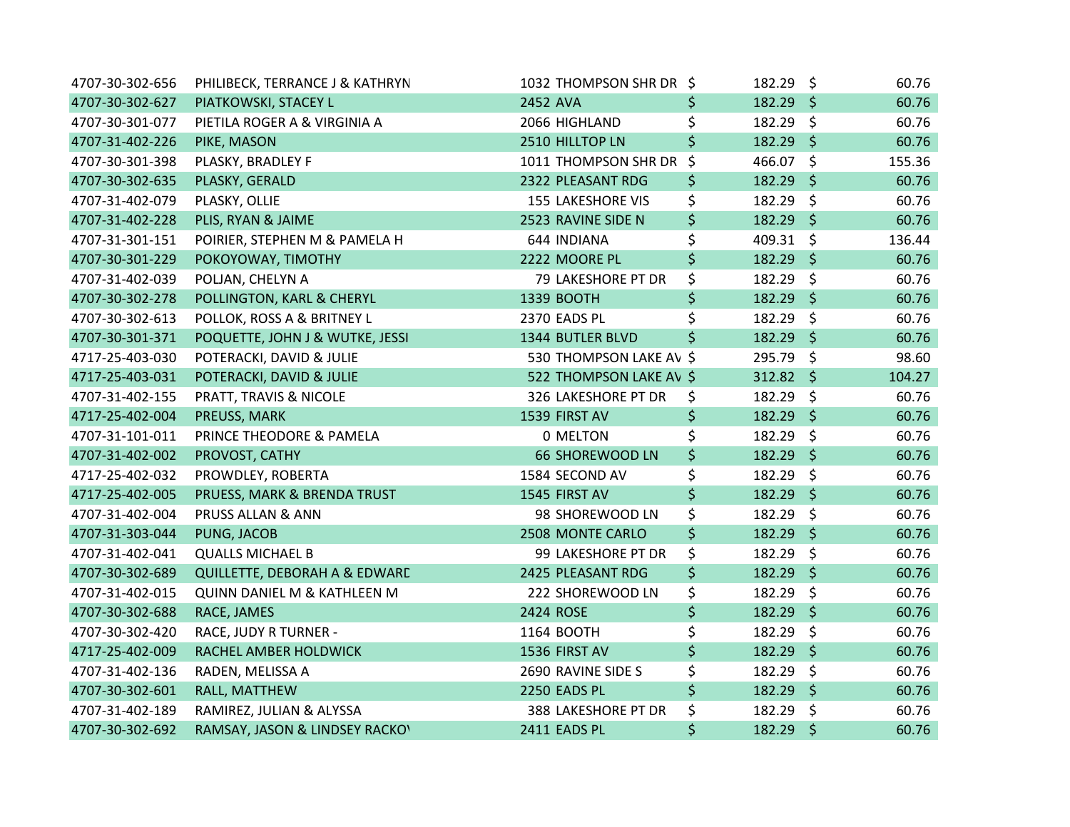| 4707-30-302-656 | PHILIBECK, TERRANCE J & KATHRYN        | 1032 THOMPSON SHR DR \$  |         | 182.29 \$        |                     | 60.76  |
|-----------------|----------------------------------------|--------------------------|---------|------------------|---------------------|--------|
| 4707-30-302-627 | PIATKOWSKI, STACEY L                   | 2452 AVA                 | \$      | 182.29 \$        |                     | 60.76  |
| 4707-30-301-077 | PIETILA ROGER A & VIRGINIA A           | 2066 HIGHLAND            | \$      | 182.29 \$        |                     | 60.76  |
| 4707-31-402-226 | PIKE, MASON                            | 2510 HILLTOP LN          | \$      | 182.29 \$        |                     | 60.76  |
| 4707-30-301-398 | PLASKY, BRADLEY F                      | 1011 THOMPSON SHR DR     | \$      | 466.07 \$        |                     | 155.36 |
| 4707-30-302-635 | PLASKY, GERALD                         | 2322 PLEASANT RDG        | \$      | $182.29$ \$      |                     | 60.76  |
| 4707-31-402-079 | PLASKY, OLLIE                          | <b>155 LAKESHORE VIS</b> | \$      | 182.29           | $\ddot{\mathsf{S}}$ | 60.76  |
| 4707-31-402-228 | PLIS, RYAN & JAIME                     | 2523 RAVINE SIDE N       | \$      | 182.29 \$        |                     | 60.76  |
| 4707-31-301-151 | POIRIER, STEPHEN M & PAMELA H          | 644 INDIANA              | \$      | 409.31 \$        |                     | 136.44 |
| 4707-30-301-229 | POKOYOWAY, TIMOTHY                     | 2222 MOORE PL            | \$      | 182.29 \$        |                     | 60.76  |
| 4707-31-402-039 | POLJAN, CHELYN A                       | 79 LAKESHORE PT DR       | \$      | 182.29 \$        |                     | 60.76  |
| 4707-30-302-278 | POLLINGTON, KARL & CHERYL              | 1339 BOOTH               | \$      | 182.29 \$        |                     | 60.76  |
| 4707-30-302-613 | POLLOK, ROSS A & BRITNEY L             | 2370 EADS PL             | \$      | 182.29 \$        |                     | 60.76  |
| 4707-30-301-371 | POQUETTE, JOHN J & WUTKE, JESSI        | 1344 BUTLER BLVD         | $\zeta$ | 182.29 \$        |                     | 60.76  |
| 4717-25-403-030 | POTERACKI, DAVID & JULIE               | 530 THOMPSON LAKE AV \$  |         | 295.79 \$        |                     | 98.60  |
| 4717-25-403-031 | POTERACKI, DAVID & JULIE               | 522 THOMPSON LAKE AV \$  |         | $312.82 \quad $$ |                     | 104.27 |
| 4707-31-402-155 | PRATT, TRAVIS & NICOLE                 | 326 LAKESHORE PT DR      | \$      | 182.29 \$        |                     | 60.76  |
| 4717-25-402-004 | PREUSS, MARK                           | 1539 FIRST AV            | \$      | 182.29 \$        |                     | 60.76  |
| 4707-31-101-011 | PRINCE THEODORE & PAMELA               | 0 MELTON                 | \$      | 182.29 \$        |                     | 60.76  |
| 4707-31-402-002 | PROVOST, CATHY                         | <b>66 SHOREWOOD LN</b>   | \$      | 182.29 \$        |                     | 60.76  |
| 4717-25-402-032 | PROWDLEY, ROBERTA                      | 1584 SECOND AV           | \$      | 182.29 \$        |                     | 60.76  |
| 4717-25-402-005 | PRUESS, MARK & BRENDA TRUST            | 1545 FIRST AV            | \$      | $182.29$ \$      |                     | 60.76  |
| 4707-31-402-004 | PRUSS ALLAN & ANN                      | 98 SHOREWOOD LN          | \$      | 182.29 \$        |                     | 60.76  |
| 4707-31-303-044 | PUNG, JACOB                            | 2508 MONTE CARLO         | \$      | 182.29 \$        |                     | 60.76  |
| 4707-31-402-041 | <b>QUALLS MICHAEL B</b>                | 99 LAKESHORE PT DR       | \$      | 182.29 \$        |                     | 60.76  |
| 4707-30-302-689 | QUILLETTE, DEBORAH A & EDWARD          | 2425 PLEASANT RDG        | \$      | 182.29 \$        |                     | 60.76  |
| 4707-31-402-015 | <b>QUINN DANIEL M &amp; KATHLEEN M</b> | 222 SHOREWOOD LN         | \$      | 182.29 \$        |                     | 60.76  |
| 4707-30-302-688 | RACE, JAMES                            | 2424 ROSE                | \$      | 182.29 \$        |                     | 60.76  |
| 4707-30-302-420 | RACE, JUDY R TURNER -                  | 1164 BOOTH               | \$      | 182.29 \$        |                     | 60.76  |
| 4717-25-402-009 | RACHEL AMBER HOLDWICK                  | 1536 FIRST AV            | \$      | $182.29$ \$      |                     | 60.76  |
| 4707-31-402-136 | RADEN, MELISSA A                       | 2690 RAVINE SIDE S       | \$      | 182.29 \$        |                     | 60.76  |
| 4707-30-302-601 | RALL, MATTHEW                          | 2250 EADS PL             | \$      | 182.29 \$        |                     | 60.76  |
| 4707-31-402-189 | RAMIREZ, JULIAN & ALYSSA               | 388 LAKESHORE PT DR      | \$      | 182.29           | $\zeta$             | 60.76  |
| 4707-30-302-692 | RAMSAY, JASON & LINDSEY RACKOV         | 2411 EADS PL             | \$      | 182.29           | $\ddot{\mathsf{s}}$ | 60.76  |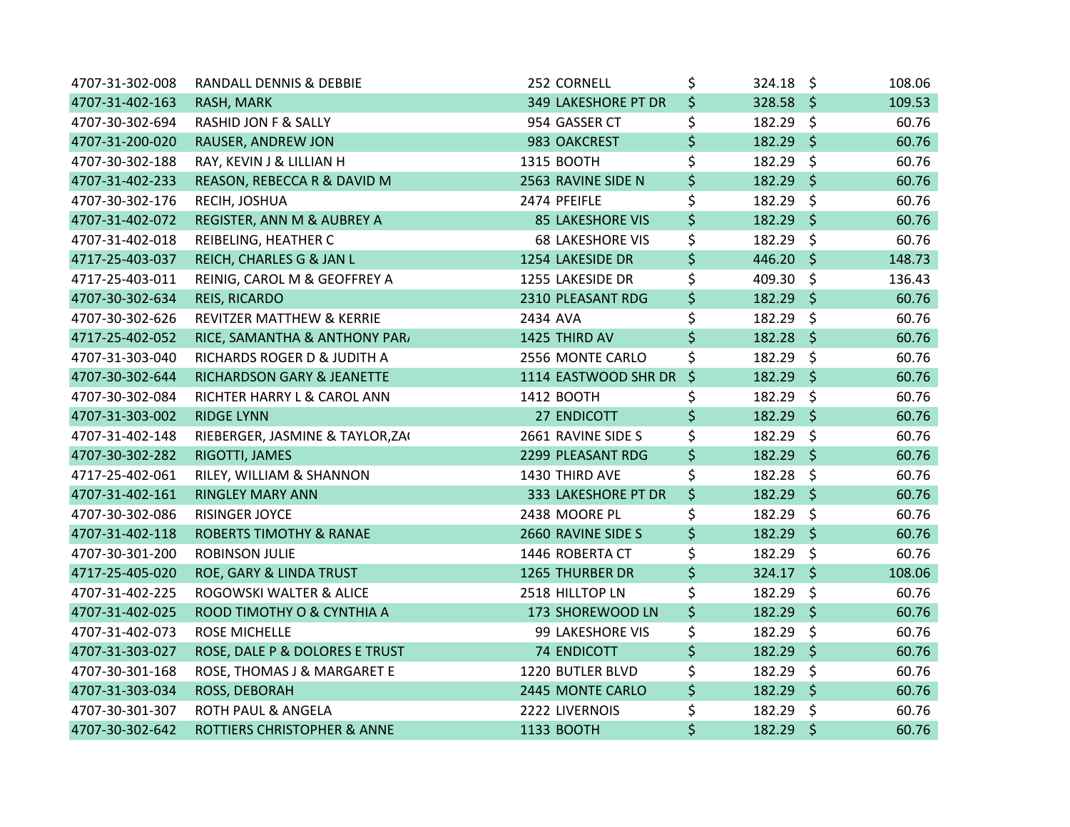| 4707-31-302-008 | RANDALL DENNIS & DEBBIE              | 252 CORNELL             | \$      | $324.18$ \$ | 108.06 |
|-----------------|--------------------------------------|-------------------------|---------|-------------|--------|
| 4707-31-402-163 | RASH, MARK                           | 349 LAKESHORE PT DR     | \$      | 328.58 \$   | 109.53 |
| 4707-30-302-694 | RASHID JON F & SALLY                 | 954 GASSER CT           | \$      | 182.29 \$   | 60.76  |
| 4707-31-200-020 | RAUSER, ANDREW JON                   | 983 OAKCREST            | \$      | 182.29 \$   | 60.76  |
| 4707-30-302-188 | RAY, KEVIN J & LILLIAN H             | 1315 BOOTH              | \$      | 182.29 \$   | 60.76  |
| 4707-31-402-233 | REASON, REBECCA R & DAVID M          | 2563 RAVINE SIDE N      | \$      | 182.29 \$   | 60.76  |
| 4707-30-302-176 | RECIH, JOSHUA                        | 2474 PFEIFLE            | \$      | 182.29 \$   | 60.76  |
| 4707-31-402-072 | REGISTER, ANN M & AUBREY A           | <b>85 LAKESHORE VIS</b> | \$      | 182.29 \$   | 60.76  |
| 4707-31-402-018 | REIBELING, HEATHER C                 | <b>68 LAKESHORE VIS</b> | \$      | 182.29 \$   | 60.76  |
| 4717-25-403-037 | REICH, CHARLES G & JAN L             | 1254 LAKESIDE DR        | \$      | 446.20 \$   | 148.73 |
| 4717-25-403-011 | REINIG, CAROL M & GEOFFREY A         | 1255 LAKESIDE DR        | \$      | 409.30 \$   | 136.43 |
| 4707-30-302-634 | REIS, RICARDO                        | 2310 PLEASANT RDG       | \$      | $182.29$ \$ | 60.76  |
| 4707-30-302-626 | <b>REVITZER MATTHEW &amp; KERRIE</b> | 2434 AVA                | \$      | 182.29 \$   | 60.76  |
| 4717-25-402-052 | RICE, SAMANTHA & ANTHONY PAR/        | 1425 THIRD AV           | \$      | $182.28$ \$ | 60.76  |
| 4707-31-303-040 | RICHARDS ROGER D & JUDITH A          | 2556 MONTE CARLO        | \$      | 182.29 \$   | 60.76  |
| 4707-30-302-644 | RICHARDSON GARY & JEANETTE           | 1114 EASTWOOD SHR DR    | $\zeta$ | $182.29$ \$ | 60.76  |
| 4707-30-302-084 | RICHTER HARRY L & CAROL ANN          | 1412 BOOTH              | \$      | 182.29 \$   | 60.76  |
| 4707-31-303-002 | <b>RIDGE LYNN</b>                    | 27 ENDICOTT             | \$      | 182.29 \$   | 60.76  |
| 4707-31-402-148 | RIEBERGER, JASMINE & TAYLOR, ZA      | 2661 RAVINE SIDE S      | \$      | 182.29 \$   | 60.76  |
| 4707-30-302-282 | RIGOTTI, JAMES                       | 2299 PLEASANT RDG       | \$      | 182.29 \$   | 60.76  |
| 4717-25-402-061 | RILEY, WILLIAM & SHANNON             | 1430 THIRD AVE          | \$      | 182.28 \$   | 60.76  |
| 4707-31-402-161 | <b>RINGLEY MARY ANN</b>              | 333 LAKESHORE PT DR     | \$      | 182.29 \$   | 60.76  |
| 4707-30-302-086 | RISINGER JOYCE                       | 2438 MOORE PL           | \$      | 182.29 \$   | 60.76  |
| 4707-31-402-118 | <b>ROBERTS TIMOTHY &amp; RANAE</b>   | 2660 RAVINE SIDE S      | \$      | 182.29 \$   | 60.76  |
| 4707-30-301-200 | <b>ROBINSON JULIE</b>                | 1446 ROBERTA CT         | \$      | 182.29 \$   | 60.76  |
| 4717-25-405-020 | ROE, GARY & LINDA TRUST              | 1265 THURBER DR         | \$      | $324.17$ \$ | 108.06 |
| 4707-31-402-225 | ROGOWSKI WALTER & ALICE              | 2518 HILLTOP LN         | \$      | 182.29 \$   | 60.76  |
| 4707-31-402-025 | ROOD TIMOTHY O & CYNTHIA A           | 173 SHOREWOOD LN        | \$      | 182.29 \$   | 60.76  |
| 4707-31-402-073 | <b>ROSE MICHELLE</b>                 | 99 LAKESHORE VIS        | \$      | 182.29 \$   | 60.76  |
| 4707-31-303-027 | ROSE, DALE P & DOLORES E TRUST       | <b>74 ENDICOTT</b>      | \$      | $182.29$ \$ | 60.76  |
| 4707-30-301-168 | ROSE, THOMAS J & MARGARET E          | 1220 BUTLER BLVD        | \$      | 182.29 \$   | 60.76  |
| 4707-31-303-034 | ROSS, DEBORAH                        | 2445 MONTE CARLO        | \$      | 182.29 \$   | 60.76  |
| 4707-30-301-307 | ROTH PAUL & ANGELA                   | 2222 LIVERNOIS          | \$      | 182.29 \$   | 60.76  |
| 4707-30-302-642 | ROTTIERS CHRISTOPHER & ANNE          | 1133 BOOTH              | \$      | 182.29 \$   | 60.76  |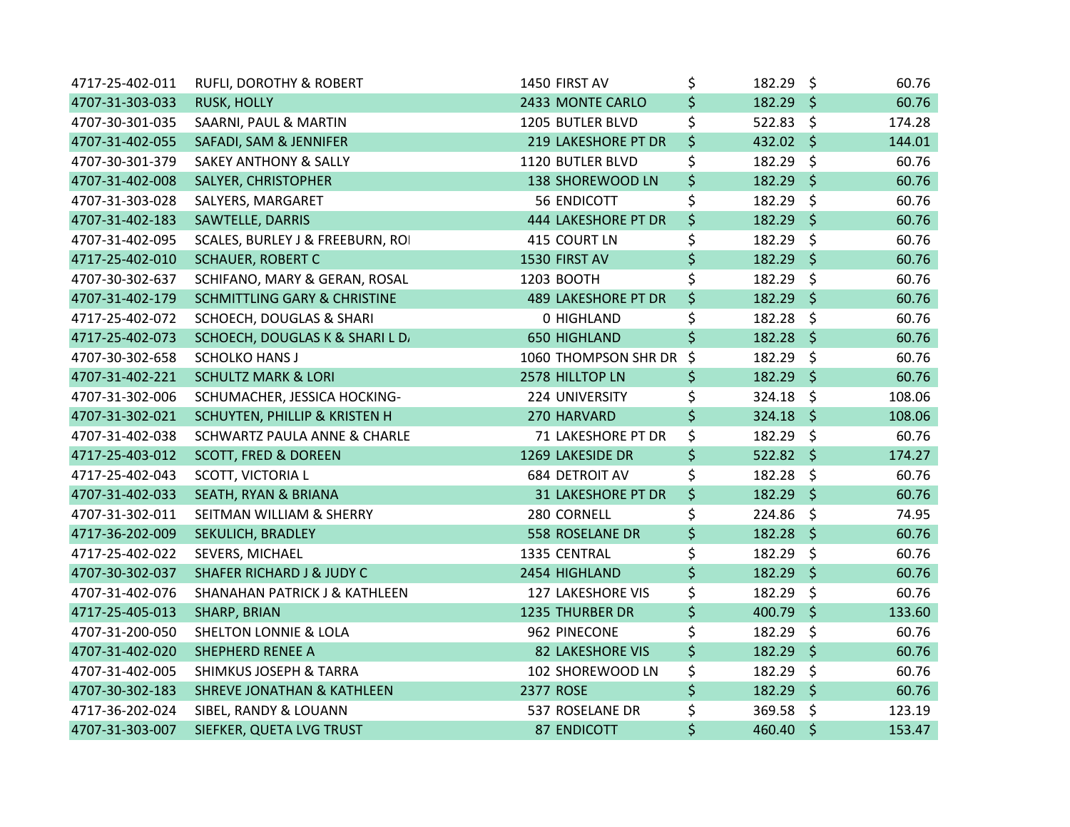| 4717-25-402-011 | <b>RUFLI, DOROTHY &amp; ROBERT</b>      | 1450 FIRST AV              | \$      | 182.29 \$   |         | 60.76  |
|-----------------|-----------------------------------------|----------------------------|---------|-------------|---------|--------|
| 4707-31-303-033 | <b>RUSK, HOLLY</b>                      | 2433 MONTE CARLO           | \$      | $182.29$ \$ |         | 60.76  |
| 4707-30-301-035 | SAARNI, PAUL & MARTIN                   | 1205 BUTLER BLVD           | \$      | 522.83 \$   |         | 174.28 |
| 4707-31-402-055 | SAFADI, SAM & JENNIFER                  | 219 LAKESHORE PT DR        | \$      | $432.02$ \$ |         | 144.01 |
| 4707-30-301-379 | <b>SAKEY ANTHONY &amp; SALLY</b>        | 1120 BUTLER BLVD           | \$      | 182.29 \$   |         | 60.76  |
| 4707-31-402-008 | SALYER, CHRISTOPHER                     | 138 SHOREWOOD LN           | \$      | 182.29 \$   |         | 60.76  |
| 4707-31-303-028 | SALYERS, MARGARET                       | 56 ENDICOTT                | \$      | 182.29 \$   |         | 60.76  |
| 4707-31-402-183 | <b>SAWTELLE, DARRIS</b>                 | 444 LAKESHORE PT DR        | \$      | 182.29 \$   |         | 60.76  |
| 4707-31-402-095 | SCALES, BURLEY J & FREEBURN, ROI        | 415 COURT LN               | \$      | 182.29 \$   |         | 60.76  |
| 4717-25-402-010 | <b>SCHAUER, ROBERT C</b>                | 1530 FIRST AV              | \$      | 182.29 \$   |         | 60.76  |
| 4707-30-302-637 | SCHIFANO, MARY & GERAN, ROSAL           | 1203 BOOTH                 | \$      | 182.29 \$   |         | 60.76  |
| 4707-31-402-179 | <b>SCHMITTLING GARY &amp; CHRISTINE</b> | <b>489 LAKESHORE PT DR</b> | \$      | $182.29$ \$ |         | 60.76  |
| 4717-25-402-072 | SCHOECH, DOUGLAS & SHARI                | 0 HIGHLAND                 | \$      | $182.28$ \$ |         | 60.76  |
| 4717-25-402-073 | SCHOECH, DOUGLAS K & SHARI L D          | <b>650 HIGHLAND</b>        | \$      | 182.28 \$   |         | 60.76  |
| 4707-30-302-658 | <b>SCHOLKO HANS J</b>                   | 1060 THOMPSON SHR DR       | $\zeta$ | 182.29 \$   |         | 60.76  |
| 4707-31-402-221 | <b>SCHULTZ MARK &amp; LORI</b>          | 2578 HILLTOP LN            | \$      | $182.29$ \$ |         | 60.76  |
| 4707-31-302-006 | SCHUMACHER, JESSICA HOCKING-            | 224 UNIVERSITY             | \$      | 324.18 \$   |         | 108.06 |
| 4707-31-302-021 | SCHUYTEN, PHILLIP & KRISTEN H           | 270 HARVARD                | \$      | 324.18 \$   |         | 108.06 |
| 4707-31-402-038 | SCHWARTZ PAULA ANNE & CHARLE            | 71 LAKESHORE PT DR         | \$      | 182.29 \$   |         | 60.76  |
| 4717-25-403-012 | <b>SCOTT, FRED &amp; DOREEN</b>         | 1269 LAKESIDE DR           | \$      | $522.82$ \$ |         | 174.27 |
| 4717-25-402-043 | SCOTT, VICTORIA L                       | 684 DETROIT AV             | \$      | 182.28 \$   |         | 60.76  |
| 4707-31-402-033 | SEATH, RYAN & BRIANA                    | <b>31 LAKESHORE PT DR</b>  | \$      | 182.29 \$   |         | 60.76  |
| 4707-31-302-011 | SEITMAN WILLIAM & SHERRY                | 280 CORNELL                | \$      | 224.86 \$   |         | 74.95  |
| 4717-36-202-009 | SEKULICH, BRADLEY                       | 558 ROSELANE DR            | \$      | 182.28 \$   |         | 60.76  |
| 4717-25-402-022 | SEVERS, MICHAEL                         | 1335 CENTRAL               | \$      | 182.29 \$   |         | 60.76  |
| 4707-30-302-037 | <b>SHAFER RICHARD J &amp; JUDY C</b>    | 2454 HIGHLAND              | \$      | 182.29 \$   |         | 60.76  |
| 4707-31-402-076 | SHANAHAN PATRICK J & KATHLEEN           | 127 LAKESHORE VIS          | \$      | 182.29 \$   |         | 60.76  |
| 4717-25-405-013 | SHARP, BRIAN                            | 1235 THURBER DR            | \$      | 400.79 \$   |         | 133.60 |
| 4707-31-200-050 | <b>SHELTON LONNIE &amp; LOLA</b>        | 962 PINECONE               | \$      | 182.29 \$   |         | 60.76  |
| 4707-31-402-020 | <b>SHEPHERD RENEE A</b>                 | <b>82 LAKESHORE VIS</b>    | \$      | 182.29      | $\zeta$ | 60.76  |
| 4707-31-402-005 | <b>SHIMKUS JOSEPH &amp; TARRA</b>       | 102 SHOREWOOD LN           | \$      | 182.29 \$   |         | 60.76  |
| 4707-30-302-183 | <b>SHREVE JONATHAN &amp; KATHLEEN</b>   | 2377 ROSE                  | \$      | 182.29 \$   |         | 60.76  |
| 4717-36-202-024 | SIBEL, RANDY & LOUANN                   | 537 ROSELANE DR            | \$      | 369.58 \$   |         | 123.19 |
| 4707-31-303-007 | SIEFKER, QUETA LVG TRUST                | <b>87 ENDICOTT</b>         | \$      | 460.40 \$   |         | 153.47 |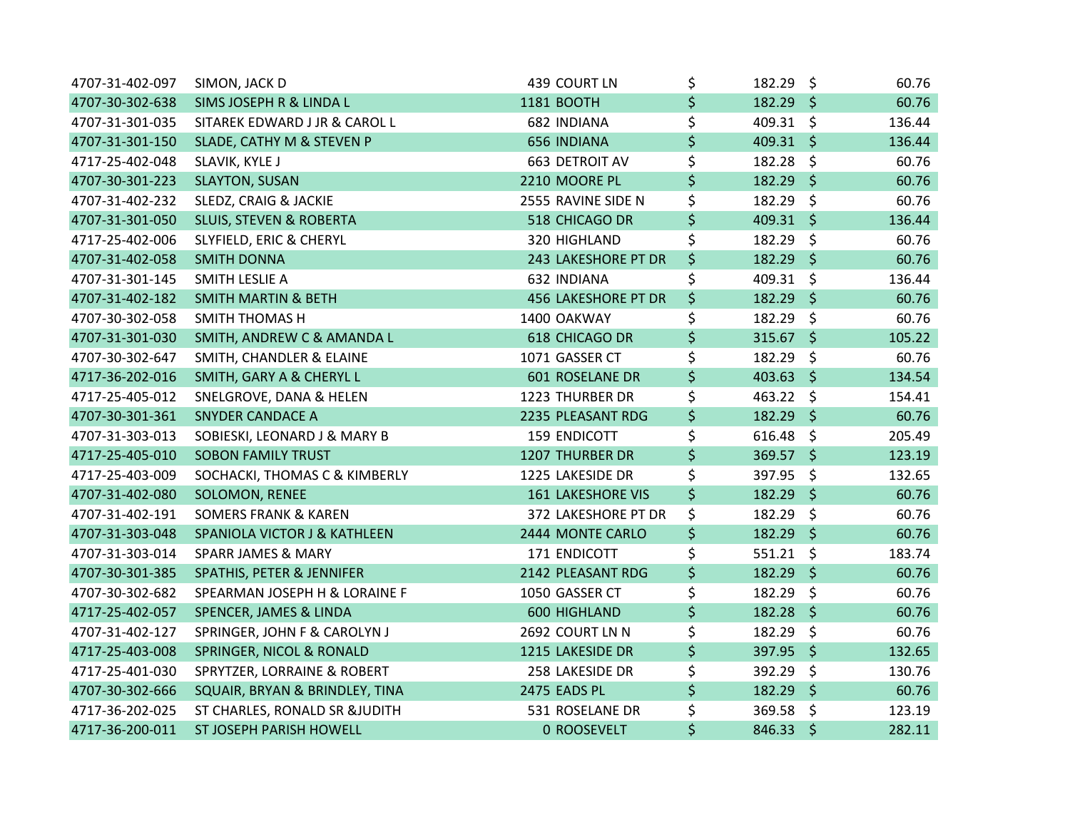| 4707-31-402-097 | SIMON, JACK D                         | 439 COURT LN               | \$<br>182.29 \$   | 60.76  |
|-----------------|---------------------------------------|----------------------------|-------------------|--------|
| 4707-30-302-638 | SIMS JOSEPH R & LINDA L               | 1181 BOOTH                 | \$<br>$182.29$ \$ | 60.76  |
| 4707-31-301-035 | SITAREK EDWARD J JR & CAROL L         | 682 INDIANA                | \$<br>409.31 \$   | 136.44 |
| 4707-31-301-150 | SLADE, CATHY M & STEVEN P             | 656 INDIANA                | \$<br>$409.31$ \$ | 136.44 |
| 4717-25-402-048 | SLAVIK, KYLE J                        | 663 DETROIT AV             | \$<br>182.28 \$   | 60.76  |
| 4707-30-301-223 | <b>SLAYTON, SUSAN</b>                 | 2210 MOORE PL              | \$<br>$182.29$ \$ | 60.76  |
| 4707-31-402-232 | SLEDZ, CRAIG & JACKIE                 | 2555 RAVINE SIDE N         | \$<br>182.29 \$   | 60.76  |
| 4707-31-301-050 | <b>SLUIS, STEVEN &amp; ROBERTA</b>    | 518 CHICAGO DR             | \$<br>409.31 \$   | 136.44 |
| 4717-25-402-006 | SLYFIELD, ERIC & CHERYL               | 320 HIGHLAND               | \$<br>182.29 \$   | 60.76  |
| 4707-31-402-058 | <b>SMITH DONNA</b>                    | 243 LAKESHORE PT DR        | \$<br>182.29 \$   | 60.76  |
| 4707-31-301-145 | SMITH LESLIE A                        | 632 INDIANA                | \$<br>409.31 \$   | 136.44 |
| 4707-31-402-182 | <b>SMITH MARTIN &amp; BETH</b>        | <b>456 LAKESHORE PT DR</b> | \$<br>$182.29$ \$ | 60.76  |
| 4707-30-302-058 | <b>SMITH THOMAS H</b>                 | 1400 OAKWAY                | \$<br>$182.29$ \$ | 60.76  |
| 4707-31-301-030 | <b>SMITH, ANDREW C &amp; AMANDA L</b> | 618 CHICAGO DR             | \$<br>315.67 \$   | 105.22 |
| 4707-30-302-647 | SMITH, CHANDLER & ELAINE              | 1071 GASSER CT             | \$<br>182.29 \$   | 60.76  |
| 4717-36-202-016 | SMITH, GARY A & CHERYL L              | 601 ROSELANE DR            | \$<br>$403.63$ \$ | 134.54 |
| 4717-25-405-012 | SNELGROVE, DANA & HELEN               | 1223 THURBER DR            | \$<br>463.22 \$   | 154.41 |
| 4707-30-301-361 | <b>SNYDER CANDACE A</b>               | 2235 PLEASANT RDG          | \$<br>182.29 \$   | 60.76  |
| 4707-31-303-013 | SOBIESKI, LEONARD J & MARY B          | <b>159 ENDICOTT</b>        | \$<br>$616.48$ \$ | 205.49 |
| 4717-25-405-010 | <b>SOBON FAMILY TRUST</b>             | 1207 THURBER DR            | \$<br>369.57 \$   | 123.19 |
| 4717-25-403-009 | SOCHACKI, THOMAS C & KIMBERLY         | 1225 LAKESIDE DR           | \$<br>397.95 \$   | 132.65 |
| 4707-31-402-080 | <b>SOLOMON, RENEE</b>                 | <b>161 LAKESHORE VIS</b>   | \$<br>182.29 \$   | 60.76  |
| 4707-31-402-191 | <b>SOMERS FRANK &amp; KAREN</b>       | 372 LAKESHORE PT DR        | \$<br>182.29 \$   | 60.76  |
| 4707-31-303-048 | SPANIOLA VICTOR J & KATHLEEN          | 2444 MONTE CARLO           | \$<br>182.29 \$   | 60.76  |
| 4707-31-303-014 | <b>SPARR JAMES &amp; MARY</b>         | 171 ENDICOTT               | \$<br>$551.21$ \$ | 183.74 |
| 4707-30-301-385 | SPATHIS, PETER & JENNIFER             | 2142 PLEASANT RDG          | \$<br>182.29 \$   | 60.76  |
| 4707-30-302-682 | SPEARMAN JOSEPH H & LORAINE F         | 1050 GASSER CT             | \$<br>$182.29$ \$ | 60.76  |
| 4717-25-402-057 | SPENCER, JAMES & LINDA                | 600 HIGHLAND               | \$<br>182.28 \$   | 60.76  |
| 4707-31-402-127 | SPRINGER, JOHN F & CAROLYN J          | 2692 COURT LN N            | \$<br>182.29 \$   | 60.76  |
| 4717-25-403-008 | SPRINGER, NICOL & RONALD              | 1215 LAKESIDE DR           | \$<br>397.95 \$   | 132.65 |
| 4717-25-401-030 | SPRYTZER, LORRAINE & ROBERT           | 258 LAKESIDE DR            | \$<br>392.29 \$   | 130.76 |
| 4707-30-302-666 | SQUAIR, BRYAN & BRINDLEY, TINA        | 2475 EADS PL               | \$<br>182.29 \$   | 60.76  |
| 4717-36-202-025 | ST CHARLES, RONALD SR &JUDITH         | 531 ROSELANE DR            | \$<br>369.58 \$   | 123.19 |
| 4717-36-200-011 | ST JOSEPH PARISH HOWELL               | 0 ROOSEVELT                | \$<br>846.33 \$   | 282.11 |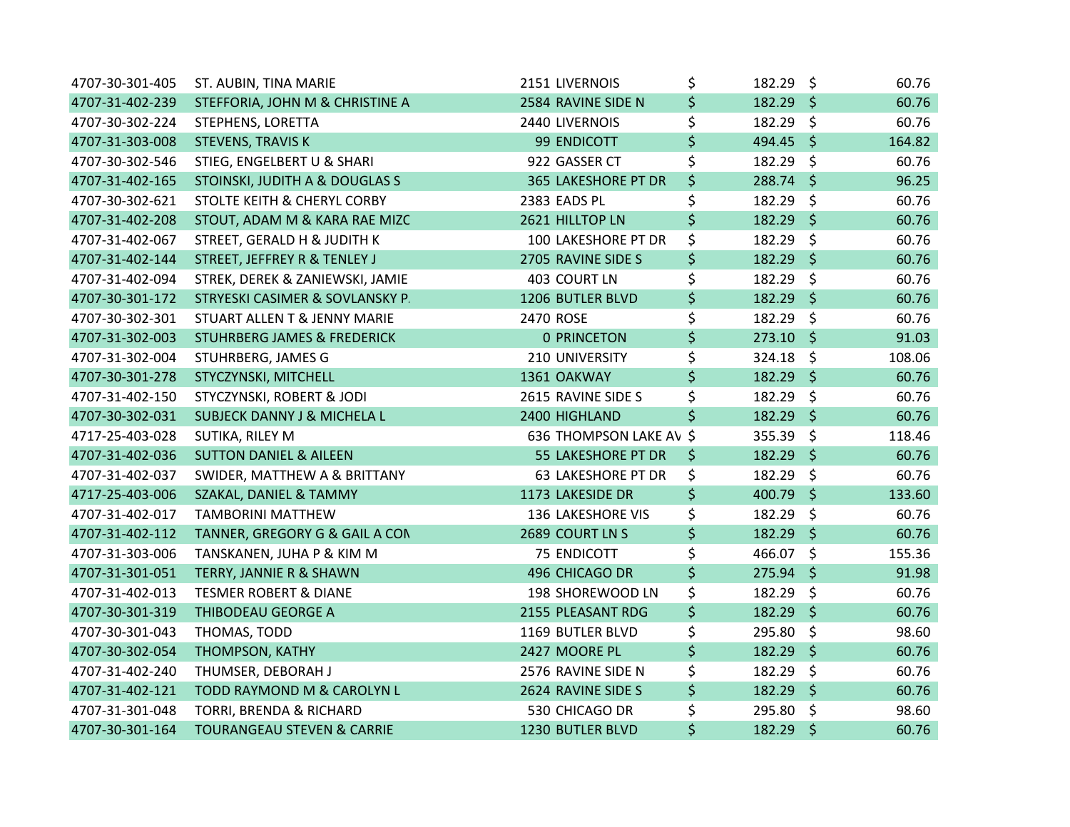| 4707-30-301-405 | ST. AUBIN, TINA MARIE                  | 2151 LIVERNOIS            | \$<br>182.29 \$   | 60.76  |
|-----------------|----------------------------------------|---------------------------|-------------------|--------|
| 4707-31-402-239 | STEFFORIA, JOHN M & CHRISTINE A        | 2584 RAVINE SIDE N        | \$<br>$182.29$ \$ | 60.76  |
| 4707-30-302-224 | STEPHENS, LORETTA                      | 2440 LIVERNOIS            | \$<br>182.29 \$   | 60.76  |
| 4707-31-303-008 | <b>STEVENS, TRAVIS K</b>               | 99 ENDICOTT               | \$<br>494.45 \$   | 164.82 |
| 4707-30-302-546 | STIEG, ENGELBERT U & SHARI             | 922 GASSER CT             | \$<br>182.29 \$   | 60.76  |
| 4707-31-402-165 | STOINSKI, JUDITH A & DOUGLAS S         | 365 LAKESHORE PT DR       | \$<br>288.74 \$   | 96.25  |
| 4707-30-302-621 | STOLTE KEITH & CHERYL CORBY            | 2383 EADS PL              | \$<br>182.29 \$   | 60.76  |
| 4707-31-402-208 | STOUT, ADAM M & KARA RAE MIZC          | 2621 HILLTOP LN           | \$<br>182.29 \$   | 60.76  |
| 4707-31-402-067 | STREET, GERALD H & JUDITH K            | 100 LAKESHORE PT DR       | \$<br>182.29 \$   | 60.76  |
| 4707-31-402-144 | STREET, JEFFREY R & TENLEY J           | 2705 RAVINE SIDE S        | \$<br>182.29 \$   | 60.76  |
| 4707-31-402-094 | STREK, DEREK & ZANIEWSKI, JAMIE        | 403 COURT LN              | \$<br>182.29 \$   | 60.76  |
| 4707-30-301-172 | STRYESKI CASIMER & SOVLANSKY P.        | 1206 BUTLER BLVD          | \$<br>182.29 \$   | 60.76  |
| 4707-30-302-301 | STUART ALLEN T & JENNY MARIE           | 2470 ROSE                 | \$<br>182.29 \$   | 60.76  |
| 4707-31-302-003 | <b>STUHRBERG JAMES &amp; FREDERICK</b> | <b>0 PRINCETON</b>        | \$<br>273.10 \$   | 91.03  |
| 4707-31-302-004 | STUHRBERG, JAMES G                     | 210 UNIVERSITY            | \$<br>$324.18$ \$ | 108.06 |
| 4707-30-301-278 | STYCZYNSKI, MITCHELL                   | 1361 OAKWAY               | \$<br>$182.29$ \$ | 60.76  |
| 4707-31-402-150 | STYCZYNSKI, ROBERT & JODI              | 2615 RAVINE SIDE S        | \$<br>182.29 \$   | 60.76  |
| 4707-30-302-031 | <b>SUBJECK DANNY J &amp; MICHELA L</b> | 2400 HIGHLAND             | \$<br>182.29 \$   | 60.76  |
| 4717-25-403-028 | SUTIKA, RILEY M                        | 636 THOMPSON LAKE AV \$   | 355.39 \$         | 118.46 |
| 4707-31-402-036 | <b>SUTTON DANIEL &amp; AILEEN</b>      | 55 LAKESHORE PT DR        | \$<br>182.29 \$   | 60.76  |
| 4707-31-402-037 | SWIDER, MATTHEW A & BRITTANY           | <b>63 LAKESHORE PT DR</b> | \$<br>182.29 \$   | 60.76  |
| 4717-25-403-006 | SZAKAL, DANIEL & TAMMY                 | 1173 LAKESIDE DR          | \$<br>400.79 \$   | 133.60 |
| 4707-31-402-017 | <b>TAMBORINI MATTHEW</b>               | 136 LAKESHORE VIS         | \$<br>182.29 \$   | 60.76  |
| 4707-31-402-112 | TANNER, GREGORY G & GAIL A CON         | 2689 COURT LN S           | \$<br>182.29 \$   | 60.76  |
| 4707-31-303-006 | TANSKANEN, JUHA P & KIM M              | 75 ENDICOTT               | \$<br>466.07 \$   | 155.36 |
| 4707-31-301-051 | TERRY, JANNIE R & SHAWN                | 496 CHICAGO DR            | \$<br>275.94 \$   | 91.98  |
| 4707-31-402-013 | <b>TESMER ROBERT &amp; DIANE</b>       | 198 SHOREWOOD LN          | \$<br>182.29 \$   | 60.76  |
| 4707-30-301-319 | THIBODEAU GEORGE A                     | 2155 PLEASANT RDG         | \$<br>182.29 \$   | 60.76  |
| 4707-30-301-043 | THOMAS, TODD                           | 1169 BUTLER BLVD          | \$<br>295.80 \$   | 98.60  |
| 4707-30-302-054 | THOMPSON, KATHY                        | 2427 MOORE PL             | \$<br>$182.29$ \$ | 60.76  |
| 4707-31-402-240 | THUMSER, DEBORAH J                     | 2576 RAVINE SIDE N        | \$<br>182.29 \$   | 60.76  |
| 4707-31-402-121 | TODD RAYMOND M & CAROLYN L             | 2624 RAVINE SIDE S        | \$<br>182.29 \$   | 60.76  |
| 4707-31-301-048 | TORRI, BRENDA & RICHARD                | 530 CHICAGO DR            | \$<br>295.80 \$   | 98.60  |
| 4707-30-301-164 | <b>TOURANGEAU STEVEN &amp; CARRIE</b>  | 1230 BUTLER BLVD          | \$<br>182.29 \$   | 60.76  |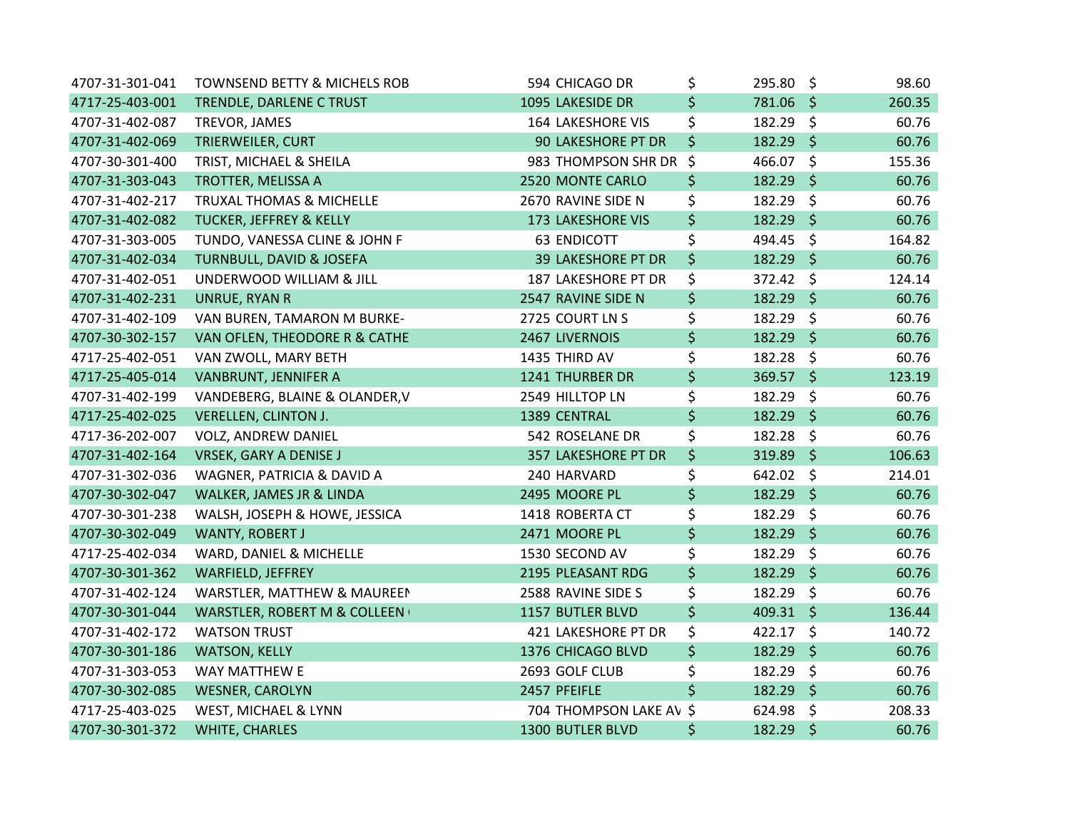| 4707-31-301-041 | TOWNSEND BETTY & MICHELS ROB              | 594 CHICAGO DR            | \$<br>295.80 \$   |         | 98.60  |
|-----------------|-------------------------------------------|---------------------------|-------------------|---------|--------|
| 4717-25-403-001 | TRENDLE, DARLENE C TRUST                  | 1095 LAKESIDE DR          | \$<br>781.06 \$   |         | 260.35 |
| 4707-31-402-087 | TREVOR, JAMES                             | <b>164 LAKESHORE VIS</b>  | \$<br>182.29 \$   |         | 60.76  |
| 4707-31-402-069 | TRIERWEILER, CURT                         | <b>90 LAKESHORE PT DR</b> | \$<br>182.29 \$   |         | 60.76  |
| 4707-30-301-400 | TRIST, MICHAEL & SHEILA                   | 983 THOMPSON SHR DR \$    | 466.07 \$         |         | 155.36 |
| 4707-31-303-043 | TROTTER, MELISSA A                        | 2520 MONTE CARLO          | \$<br>$182.29$ \$ |         | 60.76  |
| 4707-31-402-217 | <b>TRUXAL THOMAS &amp; MICHELLE</b>       | 2670 RAVINE SIDE N        | \$<br>182.29      | $\zeta$ | 60.76  |
| 4707-31-402-082 | <b>TUCKER, JEFFREY &amp; KELLY</b>        | 173 LAKESHORE VIS         | \$<br>182.29 \$   |         | 60.76  |
| 4707-31-303-005 | TUNDO, VANESSA CLINE & JOHN F             | <b>63 ENDICOTT</b>        | \$<br>494.45 \$   |         | 164.82 |
| 4707-31-402-034 | <b>TURNBULL, DAVID &amp; JOSEFA</b>       | <b>39 LAKESHORE PT DR</b> | \$<br>182.29 \$   |         | 60.76  |
| 4707-31-402-051 | UNDERWOOD WILLIAM & JILL                  | 187 LAKESHORE PT DR       | \$<br>372.42 \$   |         | 124.14 |
| 4707-31-402-231 | UNRUE, RYAN R                             | 2547 RAVINE SIDE N        | \$<br>182.29 \$   |         | 60.76  |
| 4707-31-402-109 | VAN BUREN, TAMARON M BURKE-               | 2725 COURT LN S           | \$<br>182.29 \$   |         | 60.76  |
| 4707-30-302-157 | VAN OFLEN, THEODORE R & CATHE             | 2467 LIVERNOIS            | \$<br>182.29 \$   |         | 60.76  |
| 4717-25-402-051 | VAN ZWOLL, MARY BETH                      | 1435 THIRD AV             | \$<br>182.28 \$   |         | 60.76  |
| 4717-25-405-014 | VANBRUNT, JENNIFER A                      | 1241 THURBER DR           | \$<br>369.57 \$   |         | 123.19 |
| 4707-31-402-199 | VANDEBERG, BLAINE & OLANDER, V            | 2549 HILLTOP LN           | \$<br>182.29      | \$      | 60.76  |
| 4717-25-402-025 | VERELLEN, CLINTON J.                      | 1389 CENTRAL              | \$<br>182.29 \$   |         | 60.76  |
| 4717-36-202-007 | VOLZ, ANDREW DANIEL                       | 542 ROSELANE DR           | \$<br>182.28 \$   |         | 60.76  |
| 4707-31-402-164 | <b>VRSEK, GARY A DENISE J</b>             | 357 LAKESHORE PT DR       | \$<br>319.89 \$   |         | 106.63 |
| 4707-31-302-036 | WAGNER, PATRICIA & DAVID A                | 240 HARVARD               | \$<br>642.02 \$   |         | 214.01 |
| 4707-30-302-047 | WALKER, JAMES JR & LINDA                  | 2495 MOORE PL             | \$<br>182.29 \$   |         | 60.76  |
| 4707-30-301-238 | WALSH, JOSEPH & HOWE, JESSICA             | 1418 ROBERTA CT           | \$<br>182.29 \$   |         | 60.76  |
| 4707-30-302-049 | WANTY, ROBERT J                           | 2471 MOORE PL             | \$<br>182.29 \$   |         | 60.76  |
| 4717-25-402-034 | WARD, DANIEL & MICHELLE                   | 1530 SECOND AV            | \$<br>182.29 \$   |         | 60.76  |
| 4707-30-301-362 | <b>WARFIELD, JEFFREY</b>                  | 2195 PLEASANT RDG         | \$<br>182.29 \$   |         | 60.76  |
| 4707-31-402-124 | WARSTLER, MATTHEW & MAUREEN               | 2588 RAVINE SIDE S        | \$<br>182.29 \$   |         | 60.76  |
| 4707-30-301-044 | <b>WARSTLER, ROBERT M &amp; COLLEEN (</b> | 1157 BUTLER BLVD          | \$<br>409.31 \$   |         | 136.44 |
| 4707-31-402-172 | <b>WATSON TRUST</b>                       | 421 LAKESHORE PT DR       | \$<br>422.17 \$   |         | 140.72 |
| 4707-30-301-186 | <b>WATSON, KELLY</b>                      | 1376 CHICAGO BLVD         | \$<br>182.29      | $\zeta$ | 60.76  |
| 4707-31-303-053 | WAY MATTHEW E                             | 2693 GOLF CLUB            | \$<br>182.29 \$   |         | 60.76  |
| 4707-30-302-085 | <b>WESNER, CAROLYN</b>                    | 2457 PFEIFLE              | \$<br>182.29 \$   |         | 60.76  |
| 4717-25-403-025 | WEST, MICHAEL & LYNN                      | 704 THOMPSON LAKE AV \$   | 624.98 \$         |         | 208.33 |
| 4707-30-301-372 | <b>WHITE, CHARLES</b>                     | 1300 BUTLER BLVD          | \$<br>182.29      | $\zeta$ | 60.76  |